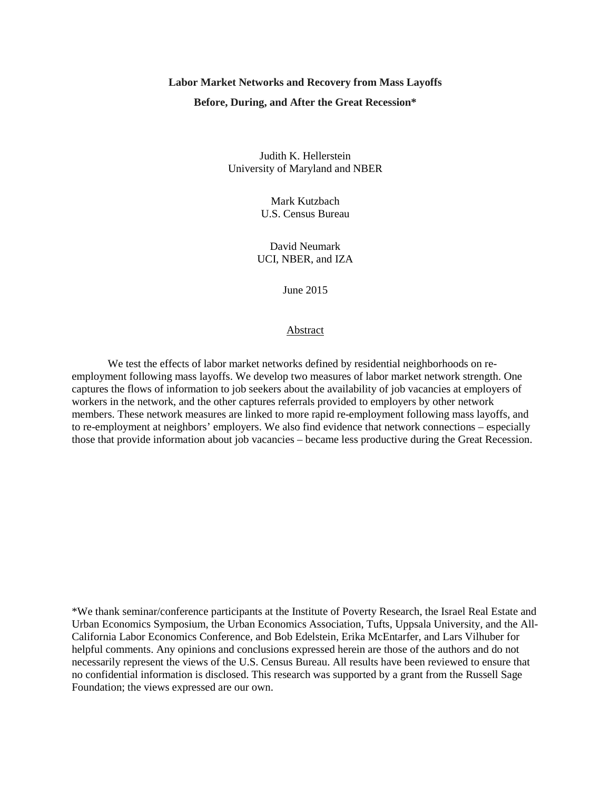# **Labor Market Networks and Recovery from Mass Layoffs Before, During, and After the Great Recession\***

Judith K. Hellerstein University of Maryland and NBER

> Mark Kutzbach U.S. Census Bureau

David Neumark UCI, NBER, and IZA

June 2015

Abstract

We test the effects of labor market networks defined by residential neighborhoods on reemployment following mass layoffs. We develop two measures of labor market network strength. One captures the flows of information to job seekers about the availability of job vacancies at employers of workers in the network, and the other captures referrals provided to employers by other network members. These network measures are linked to more rapid re-employment following mass layoffs, and to re-employment at neighbors' employers. We also find evidence that network connections – especially those that provide information about job vacancies – became less productive during the Great Recession.

\*We thank seminar/conference participants at the Institute of Poverty Research, the Israel Real Estate and Urban Economics Symposium, the Urban Economics Association, Tufts, Uppsala University, and the All-California Labor Economics Conference, and Bob Edelstein, Erika McEntarfer, and Lars Vilhuber for helpful comments. Any opinions and conclusions expressed herein are those of the authors and do not necessarily represent the views of the U.S. Census Bureau. All results have been reviewed to ensure that no confidential information is disclosed. This research was supported by a grant from the Russell Sage Foundation; the views expressed are our own.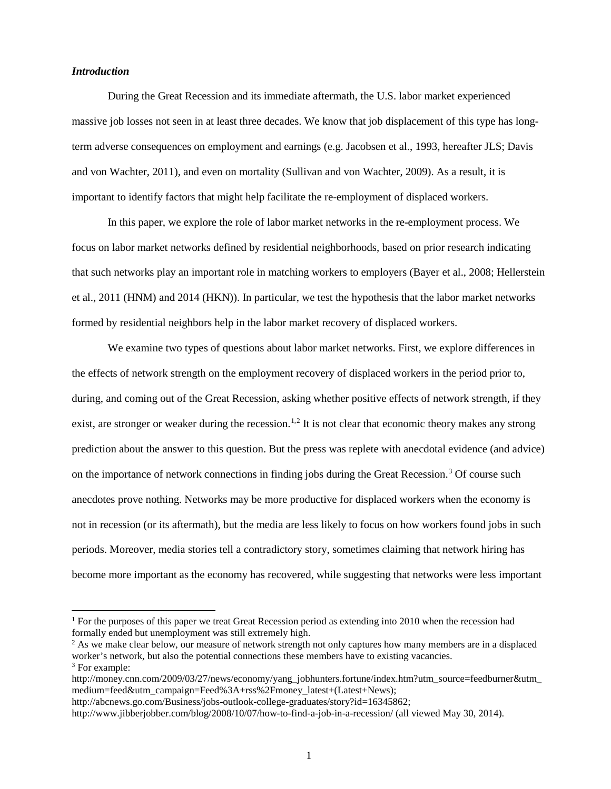#### *Introduction*

During the Great Recession and its immediate aftermath, the U.S. labor market experienced massive job losses not seen in at least three decades. We know that job displacement of this type has longterm adverse consequences on employment and earnings (e.g. Jacobsen et al., 1993, hereafter JLS; Davis and von Wachter, 2011), and even on mortality (Sullivan and von Wachter, 2009). As a result, it is important to identify factors that might help facilitate the re-employment of displaced workers.

In this paper, we explore the role of labor market networks in the re-employment process. We focus on labor market networks defined by residential neighborhoods, based on prior research indicating that such networks play an important role in matching workers to employers (Bayer et al., 2008; Hellerstein et al., 2011 (HNM) and 2014 (HKN)). In particular, we test the hypothesis that the labor market networks formed by residential neighbors help in the labor market recovery of displaced workers.

We examine two types of questions about labor market networks. First, we explore differences in the effects of network strength on the employment recovery of displaced workers in the period prior to, during, and coming out of the Great Recession, asking whether positive effects of network strength, if they exist, are stronger or weaker during the recession.<sup>[1](#page-1-0),[2](#page-1-1)</sup> It is not clear that economic theory makes any strong prediction about the answer to this question. But the press was replete with anecdotal evidence (and advice) on the importance of network connections in finding jobs during the Great Recession.[3](#page-1-2) Of course such anecdotes prove nothing. Networks may be more productive for displaced workers when the economy is not in recession (or its aftermath), but the media are less likely to focus on how workers found jobs in such periods. Moreover, media stories tell a contradictory story, sometimes claiming that network hiring has become more important as the economy has recovered, while suggesting that networks were less important

<span id="page-1-0"></span><sup>&</sup>lt;sup>1</sup> For the purposes of this paper we treat Great Recession period as extending into 2010 when the recession had formally ended but unemployment was still extremely high.

<span id="page-1-1"></span><sup>&</sup>lt;sup>2</sup> As we make clear below, our measure of network strength not only captures how many members are in a displaced worker's network, but also the potential connections these members have to existing vacancies.

<span id="page-1-2"></span><sup>&</sup>lt;sup>3</sup> For example:

http://money.cnn.com/2009/03/27/news/economy/yang\_jobhunters.fortune/index.htm?utm\_source=feedburner&utm\_ medium=feed&utm\_campaign=Feed%3A+rss%2Fmoney\_latest+(Latest+News);

http://abcnews.go.com/Business/jobs-outlook-college-graduates/story?id=16345862;

http://www.jibberjobber.com/blog/2008/10/07/how-to-find-a-job-in-a-recession/ (all viewed May 30, 2014).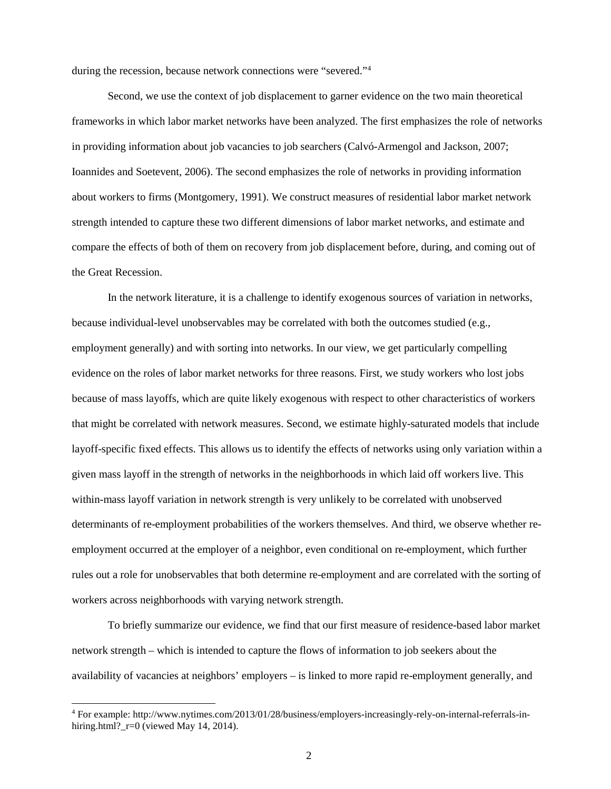during the recession, because network connections were "severed."<sup>[4](#page-2-0)</sup>

Second, we use the context of job displacement to garner evidence on the two main theoretical frameworks in which labor market networks have been analyzed. The first emphasizes the role of networks in providing information about job vacancies to job searchers (Calvó-Armengol and Jackson, 2007; Ioannides and Soetevent, 2006). The second emphasizes the role of networks in providing information about workers to firms (Montgomery, 1991). We construct measures of residential labor market network strength intended to capture these two different dimensions of labor market networks, and estimate and compare the effects of both of them on recovery from job displacement before, during, and coming out of the Great Recession.

In the network literature, it is a challenge to identify exogenous sources of variation in networks, because individual-level unobservables may be correlated with both the outcomes studied (e.g., employment generally) and with sorting into networks. In our view, we get particularly compelling evidence on the roles of labor market networks for three reasons. First, we study workers who lost jobs because of mass layoffs, which are quite likely exogenous with respect to other characteristics of workers that might be correlated with network measures. Second, we estimate highly-saturated models that include layoff-specific fixed effects. This allows us to identify the effects of networks using only variation within a given mass layoff in the strength of networks in the neighborhoods in which laid off workers live. This within-mass layoff variation in network strength is very unlikely to be correlated with unobserved determinants of re-employment probabilities of the workers themselves. And third, we observe whether reemployment occurred at the employer of a neighbor, even conditional on re-employment, which further rules out a role for unobservables that both determine re-employment and are correlated with the sorting of workers across neighborhoods with varying network strength.

To briefly summarize our evidence, we find that our first measure of residence-based labor market network strength – which is intended to capture the flows of information to job seekers about the availability of vacancies at neighbors' employers – is linked to more rapid re-employment generally, and

<span id="page-2-0"></span> <sup>4</sup> For example: http://www.nytimes.com/2013/01/28/business/employers-increasingly-rely-on-internal-referrals-inhiring.html?  $r=0$  (viewed May 14, 2014).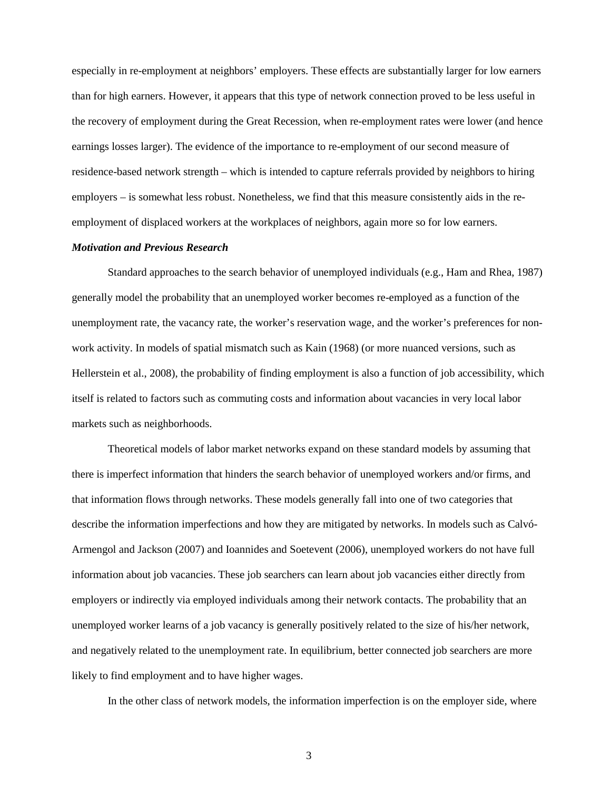especially in re-employment at neighbors' employers. These effects are substantially larger for low earners than for high earners. However, it appears that this type of network connection proved to be less useful in the recovery of employment during the Great Recession, when re-employment rates were lower (and hence earnings losses larger). The evidence of the importance to re-employment of our second measure of residence-based network strength – which is intended to capture referrals provided by neighbors to hiring employers – is somewhat less robust. Nonetheless, we find that this measure consistently aids in the reemployment of displaced workers at the workplaces of neighbors, again more so for low earners.

#### *Motivation and Previous Research*

Standard approaches to the search behavior of unemployed individuals (e.g., Ham and Rhea, 1987) generally model the probability that an unemployed worker becomes re-employed as a function of the unemployment rate, the vacancy rate, the worker's reservation wage, and the worker's preferences for nonwork activity. In models of spatial mismatch such as Kain (1968) (or more nuanced versions, such as Hellerstein et al., 2008), the probability of finding employment is also a function of job accessibility, which itself is related to factors such as commuting costs and information about vacancies in very local labor markets such as neighborhoods.

Theoretical models of labor market networks expand on these standard models by assuming that there is imperfect information that hinders the search behavior of unemployed workers and/or firms, and that information flows through networks. These models generally fall into one of two categories that describe the information imperfections and how they are mitigated by networks. In models such as Calvó-Armengol and Jackson (2007) and Ioannides and Soetevent (2006), unemployed workers do not have full information about job vacancies. These job searchers can learn about job vacancies either directly from employers or indirectly via employed individuals among their network contacts. The probability that an unemployed worker learns of a job vacancy is generally positively related to the size of his/her network, and negatively related to the unemployment rate. In equilibrium, better connected job searchers are more likely to find employment and to have higher wages.

In the other class of network models, the information imperfection is on the employer side, where

3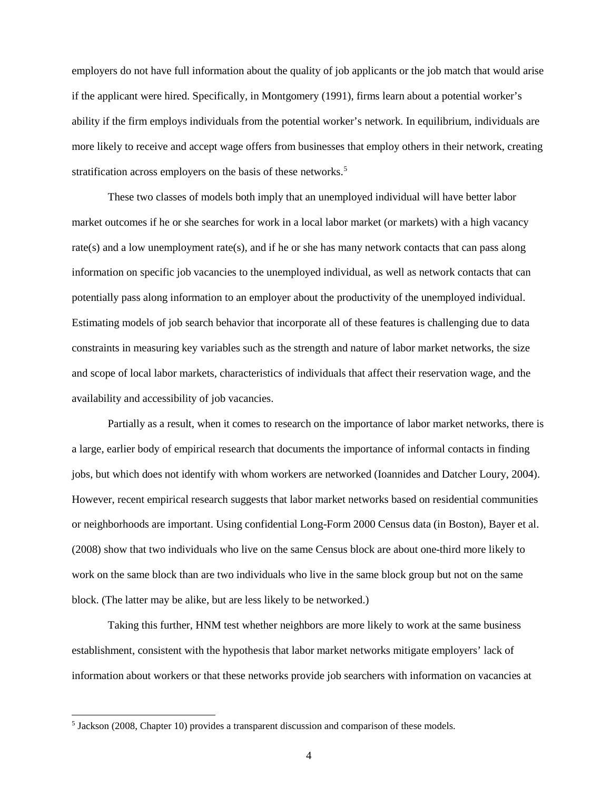employers do not have full information about the quality of job applicants or the job match that would arise if the applicant were hired. Specifically, in Montgomery (1991), firms learn about a potential worker's ability if the firm employs individuals from the potential worker's network. In equilibrium, individuals are more likely to receive and accept wage offers from businesses that employ others in their network, creating stratification across employers on the basis of these networks.<sup>[5](#page-4-0)</sup>

These two classes of models both imply that an unemployed individual will have better labor market outcomes if he or she searches for work in a local labor market (or markets) with a high vacancy rate(s) and a low unemployment rate(s), and if he or she has many network contacts that can pass along information on specific job vacancies to the unemployed individual, as well as network contacts that can potentially pass along information to an employer about the productivity of the unemployed individual. Estimating models of job search behavior that incorporate all of these features is challenging due to data constraints in measuring key variables such as the strength and nature of labor market networks, the size and scope of local labor markets, characteristics of individuals that affect their reservation wage, and the availability and accessibility of job vacancies.

Partially as a result, when it comes to research on the importance of labor market networks, there is a large, earlier body of empirical research that documents the importance of informal contacts in finding jobs, but which does not identify with whom workers are networked (Ioannides and Datcher Loury, 2004). However, recent empirical research suggests that labor market networks based on residential communities or neighborhoods are important. Using confidential Long-Form 2000 Census data (in Boston), Bayer et al. (2008) show that two individuals who live on the same Census block are about one-third more likely to work on the same block than are two individuals who live in the same block group but not on the same block. (The latter may be alike, but are less likely to be networked.)

Taking this further, HNM test whether neighbors are more likely to work at the same business establishment, consistent with the hypothesis that labor market networks mitigate employers' lack of information about workers or that these networks provide job searchers with information on vacancies at

<span id="page-4-0"></span> <sup>5</sup> Jackson (2008, Chapter 10) provides a transparent discussion and comparison of these models.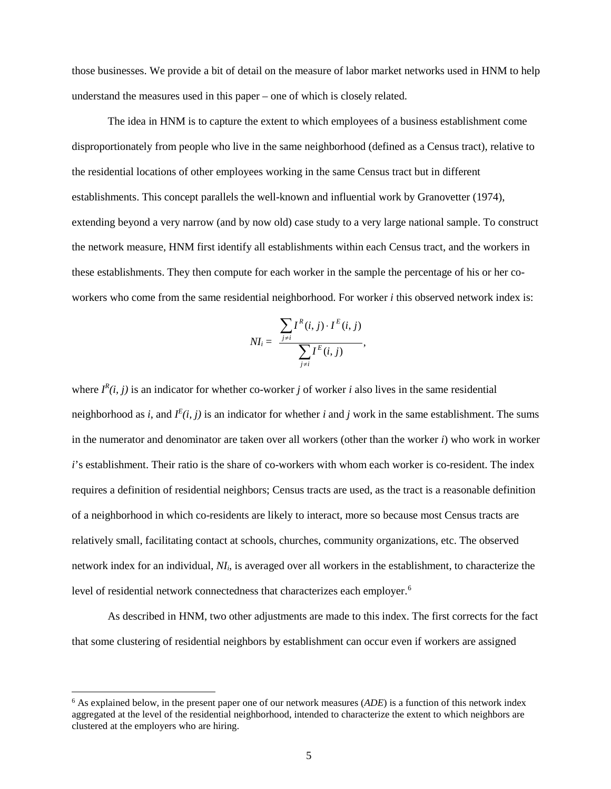those businesses. We provide a bit of detail on the measure of labor market networks used in HNM to help understand the measures used in this paper – one of which is closely related.

The idea in HNM is to capture the extent to which employees of a business establishment come disproportionately from people who live in the same neighborhood (defined as a Census tract), relative to the residential locations of other employees working in the same Census tract but in different establishments. This concept parallels the well-known and influential work by Granovetter (1974), extending beyond a very narrow (and by now old) case study to a very large national sample. To construct the network measure, HNM first identify all establishments within each Census tract, and the workers in these establishments. They then compute for each worker in the sample the percentage of his or her coworkers who come from the same residential neighborhood. For worker *i* this observed network index is:

$$
NI_i = \frac{\sum_{j \neq i} I^{R}(i, j) \cdot I^{E}(i, j)}{\sum_{j \neq i} I^{E}(i, j)},
$$

where  $I^R(i, j)$  is an indicator for whether co-worker *j* of worker *i* also lives in the same residential neighborhood as *i*, and  $I^E(i, j)$  is an indicator for whether *i* and *j* work in the same establishment. The sums in the numerator and denominator are taken over all workers (other than the worker *i*) who work in worker *i*'s establishment. Their ratio is the share of co-workers with whom each worker is co-resident. The index requires a definition of residential neighbors; Census tracts are used, as the tract is a reasonable definition of a neighborhood in which co-residents are likely to interact, more so because most Census tracts are relatively small, facilitating contact at schools, churches, community organizations, etc. The observed network index for an individual, *NIi*, is averaged over all workers in the establishment, to characterize the level of residential network connectedness that characterizes each employer.<sup>[6](#page-5-0)</sup>

As described in HNM, two other adjustments are made to this index. The first corrects for the fact that some clustering of residential neighbors by establishment can occur even if workers are assigned

<span id="page-5-0"></span> <sup>6</sup> As explained below, in the present paper one of our network measures (*ADE*) is a function of this network index aggregated at the level of the residential neighborhood, intended to characterize the extent to which neighbors are clustered at the employers who are hiring.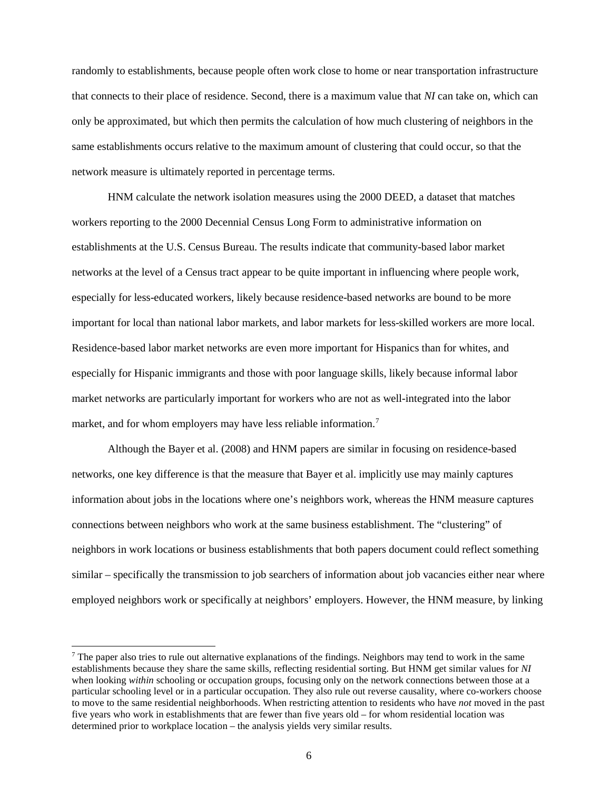randomly to establishments, because people often work close to home or near transportation infrastructure that connects to their place of residence. Second, there is a maximum value that *NI* can take on, which can only be approximated, but which then permits the calculation of how much clustering of neighbors in the same establishments occurs relative to the maximum amount of clustering that could occur, so that the network measure is ultimately reported in percentage terms.

HNM calculate the network isolation measures using the 2000 DEED, a dataset that matches workers reporting to the 2000 Decennial Census Long Form to administrative information on establishments at the U.S. Census Bureau. The results indicate that community-based labor market networks at the level of a Census tract appear to be quite important in influencing where people work, especially for less-educated workers, likely because residence-based networks are bound to be more important for local than national labor markets, and labor markets for less-skilled workers are more local. Residence-based labor market networks are even more important for Hispanics than for whites, and especially for Hispanic immigrants and those with poor language skills, likely because informal labor market networks are particularly important for workers who are not as well-integrated into the labor market, and for whom employers may have less reliable information.<sup>[7](#page-6-0)</sup>

Although the Bayer et al. (2008) and HNM papers are similar in focusing on residence-based networks, one key difference is that the measure that Bayer et al. implicitly use may mainly captures information about jobs in the locations where one's neighbors work, whereas the HNM measure captures connections between neighbors who work at the same business establishment. The "clustering" of neighbors in work locations or business establishments that both papers document could reflect something similar – specifically the transmission to job searchers of information about job vacancies either near where employed neighbors work or specifically at neighbors' employers. However, the HNM measure, by linking

<span id="page-6-0"></span> $<sup>7</sup>$  The paper also tries to rule out alternative explanations of the findings. Neighbors may tend to work in the same</sup> establishments because they share the same skills, reflecting residential sorting. But HNM get similar values for *NI*  when looking *within* schooling or occupation groups, focusing only on the network connections between those at a particular schooling level or in a particular occupation. They also rule out reverse causality, where co-workers choose to move to the same residential neighborhoods. When restricting attention to residents who have *not* moved in the past five years who work in establishments that are fewer than five years old – for whom residential location was determined prior to workplace location – the analysis yields very similar results.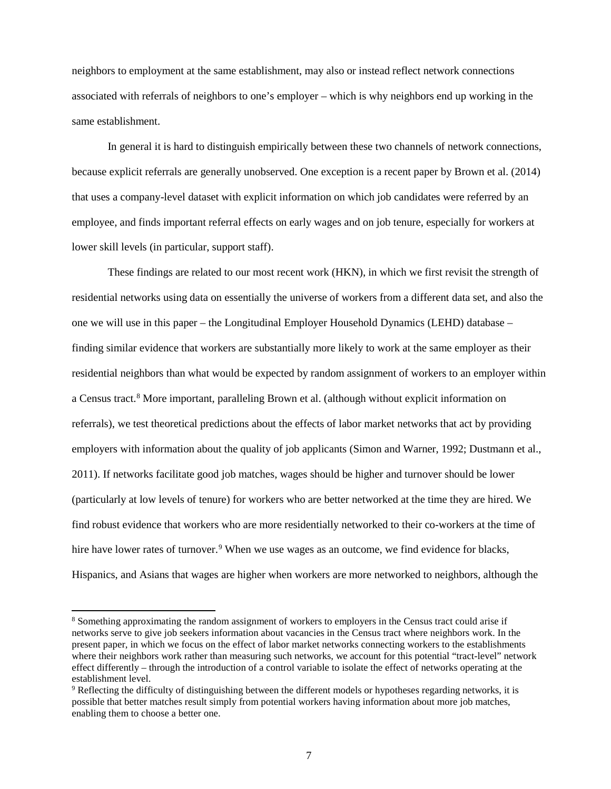neighbors to employment at the same establishment, may also or instead reflect network connections associated with referrals of neighbors to one's employer – which is why neighbors end up working in the same establishment.

In general it is hard to distinguish empirically between these two channels of network connections, because explicit referrals are generally unobserved. One exception is a recent paper by Brown et al. (2014) that uses a company-level dataset with explicit information on which job candidates were referred by an employee, and finds important referral effects on early wages and on job tenure, especially for workers at lower skill levels (in particular, support staff).

These findings are related to our most recent work (HKN), in which we first revisit the strength of residential networks using data on essentially the universe of workers from a different data set, and also the one we will use in this paper – the Longitudinal Employer Household Dynamics (LEHD) database – finding similar evidence that workers are substantially more likely to work at the same employer as their residential neighbors than what would be expected by random assignment of workers to an employer within a Census tract. [8](#page-7-0) More important, paralleling Brown et al. (although without explicit information on referrals), we test theoretical predictions about the effects of labor market networks that act by providing employers with information about the quality of job applicants (Simon and Warner, 1992; Dustmann et al., 2011). If networks facilitate good job matches, wages should be higher and turnover should be lower (particularly at low levels of tenure) for workers who are better networked at the time they are hired. We find robust evidence that workers who are more residentially networked to their co-workers at the time of hire have lower rates of turnover.<sup>[9](#page-7-1)</sup> When we use wages as an outcome, we find evidence for blacks, Hispanics, and Asians that wages are higher when workers are more networked to neighbors, although the

<span id="page-7-0"></span> <sup>8</sup> Something approximating the random assignment of workers to employers in the Census tract could arise if networks serve to give job seekers information about vacancies in the Census tract where neighbors work. In the present paper, in which we focus on the effect of labor market networks connecting workers to the establishments where their neighbors work rather than measuring such networks, we account for this potential "tract-level" network effect differently – through the introduction of a control variable to isolate the effect of networks operating at the establishment level.

<span id="page-7-1"></span><sup>&</sup>lt;sup>9</sup> Reflecting the difficulty of distinguishing between the different models or hypotheses regarding networks, it is possible that better matches result simply from potential workers having information about more job matches, enabling them to choose a better one.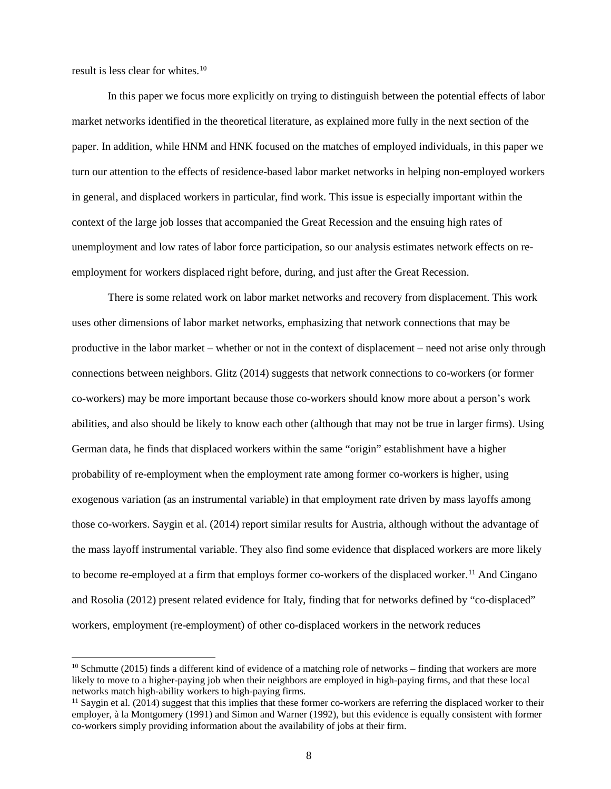result is less clear for whites. [10](#page-8-0)

In this paper we focus more explicitly on trying to distinguish between the potential effects of labor market networks identified in the theoretical literature, as explained more fully in the next section of the paper. In addition, while HNM and HNK focused on the matches of employed individuals, in this paper we turn our attention to the effects of residence-based labor market networks in helping non-employed workers in general, and displaced workers in particular, find work. This issue is especially important within the context of the large job losses that accompanied the Great Recession and the ensuing high rates of unemployment and low rates of labor force participation, so our analysis estimates network effects on reemployment for workers displaced right before, during, and just after the Great Recession.

There is some related work on labor market networks and recovery from displacement. This work uses other dimensions of labor market networks, emphasizing that network connections that may be productive in the labor market – whether or not in the context of displacement – need not arise only through connections between neighbors. Glitz (2014) suggests that network connections to co-workers (or former co-workers) may be more important because those co-workers should know more about a person's work abilities, and also should be likely to know each other (although that may not be true in larger firms). Using German data, he finds that displaced workers within the same "origin" establishment have a higher probability of re-employment when the employment rate among former co-workers is higher, using exogenous variation (as an instrumental variable) in that employment rate driven by mass layoffs among those co-workers. Saygin et al. (2014) report similar results for Austria, although without the advantage of the mass layoff instrumental variable. They also find some evidence that displaced workers are more likely to become re-employed at a firm that employs former co-workers of the displaced worker.<sup>[11](#page-8-1)</sup> And Cingano and Rosolia (2012) present related evidence for Italy, finding that for networks defined by "co-displaced" workers, employment (re-employment) of other co-displaced workers in the network reduces

<span id="page-8-0"></span> $10$  Schmutte (2015) finds a different kind of evidence of a matching role of networks – finding that workers are more likely to move to a higher-paying job when their neighbors are employed in high-paying firms, and that these local networks match high-ability workers to high-paying firms.<br><sup>11</sup> Saygin et al. (2014) suggest that this implies that these former co-workers are referring the displaced worker to their

<span id="page-8-1"></span>employer, à la Montgomery (1991) and Simon and Warner (1992), but this evidence is equally consistent with former co-workers simply providing information about the availability of jobs at their firm.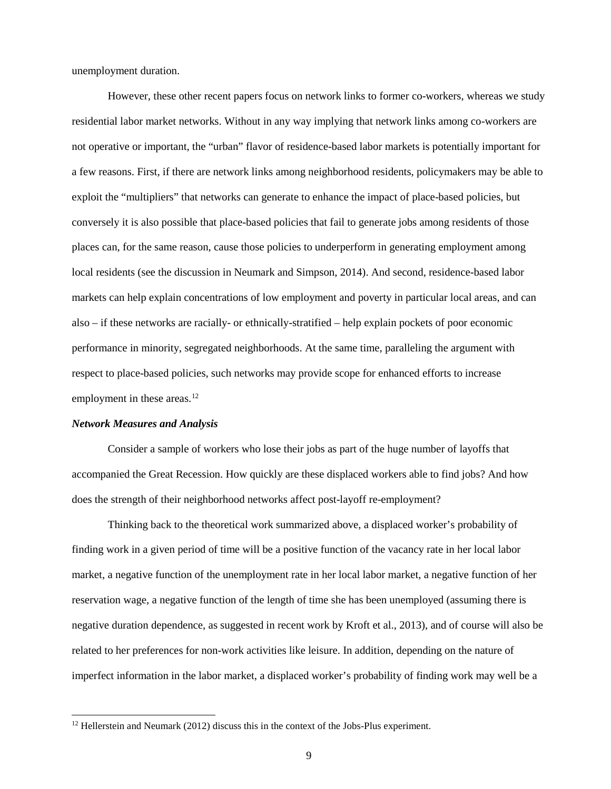unemployment duration.

However, these other recent papers focus on network links to former co-workers, whereas we study residential labor market networks. Without in any way implying that network links among co-workers are not operative or important, the "urban" flavor of residence-based labor markets is potentially important for a few reasons. First, if there are network links among neighborhood residents, policymakers may be able to exploit the "multipliers" that networks can generate to enhance the impact of place-based policies, but conversely it is also possible that place-based policies that fail to generate jobs among residents of those places can, for the same reason, cause those policies to underperform in generating employment among local residents (see the discussion in Neumark and Simpson, 2014). And second, residence-based labor markets can help explain concentrations of low employment and poverty in particular local areas, and can also – if these networks are racially- or ethnically-stratified – help explain pockets of poor economic performance in minority, segregated neighborhoods. At the same time, paralleling the argument with respect to place-based policies, such networks may provide scope for enhanced efforts to increase employment in these areas.<sup>[12](#page-9-0)</sup>

#### *Network Measures and Analysis*

Consider a sample of workers who lose their jobs as part of the huge number of layoffs that accompanied the Great Recession. How quickly are these displaced workers able to find jobs? And how does the strength of their neighborhood networks affect post-layoff re-employment?

Thinking back to the theoretical work summarized above, a displaced worker's probability of finding work in a given period of time will be a positive function of the vacancy rate in her local labor market, a negative function of the unemployment rate in her local labor market, a negative function of her reservation wage, a negative function of the length of time she has been unemployed (assuming there is negative duration dependence, as suggested in recent work by Kroft et al., 2013), and of course will also be related to her preferences for non-work activities like leisure. In addition, depending on the nature of imperfect information in the labor market, a displaced worker's probability of finding work may well be a

<span id="page-9-0"></span> $12$  Hellerstein and Neumark (2012) discuss this in the context of the Jobs-Plus experiment.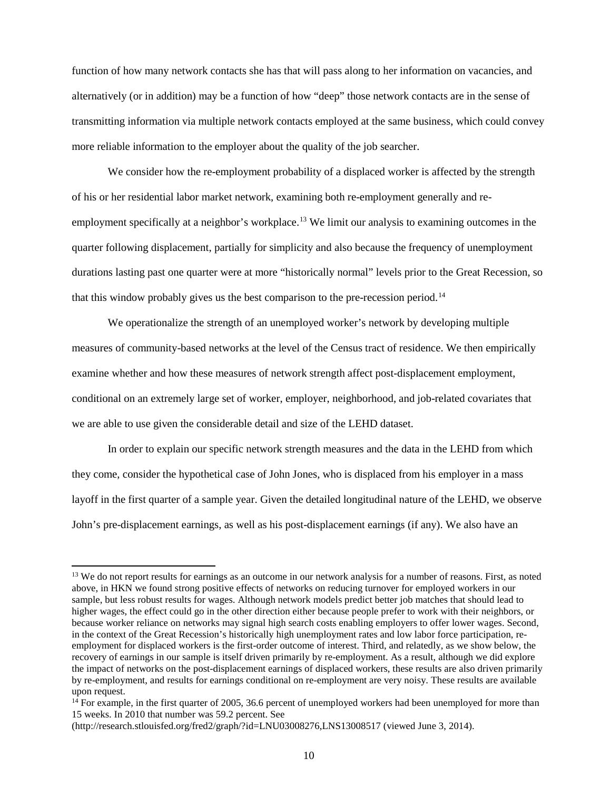function of how many network contacts she has that will pass along to her information on vacancies, and alternatively (or in addition) may be a function of how "deep" those network contacts are in the sense of transmitting information via multiple network contacts employed at the same business, which could convey more reliable information to the employer about the quality of the job searcher.

We consider how the re-employment probability of a displaced worker is affected by the strength of his or her residential labor market network, examining both re-employment generally and reemployment specifically at a neighbor's workplace.<sup>13</sup> We limit our analysis to examining outcomes in the quarter following displacement, partially for simplicity and also because the frequency of unemployment durations lasting past one quarter were at more "historically normal" levels prior to the Great Recession, so that this window probably gives us the best comparison to the pre-recession period. [14](#page-10-1)

We operationalize the strength of an unemployed worker's network by developing multiple measures of community-based networks at the level of the Census tract of residence. We then empirically examine whether and how these measures of network strength affect post-displacement employment, conditional on an extremely large set of worker, employer, neighborhood, and job-related covariates that we are able to use given the considerable detail and size of the LEHD dataset.

In order to explain our specific network strength measures and the data in the LEHD from which they come, consider the hypothetical case of John Jones, who is displaced from his employer in a mass layoff in the first quarter of a sample year. Given the detailed longitudinal nature of the LEHD, we observe John's pre-displacement earnings, as well as his post-displacement earnings (if any). We also have an

<span id="page-10-0"></span><sup>&</sup>lt;sup>13</sup> We do not report results for earnings as an outcome in our network analysis for a number of reasons. First, as noted above, in HKN we found strong positive effects of networks on reducing turnover for employed workers in our sample, but less robust results for wages. Although network models predict better job matches that should lead to higher wages, the effect could go in the other direction either because people prefer to work with their neighbors, or because worker reliance on networks may signal high search costs enabling employers to offer lower wages. Second, in the context of the Great Recession's historically high unemployment rates and low labor force participation, reemployment for displaced workers is the first-order outcome of interest. Third, and relatedly, as we show below, the recovery of earnings in our sample is itself driven primarily by re-employment. As a result, although we did explore the impact of networks on the post-displacement earnings of displaced workers, these results are also driven primarily by re-employment, and results for earnings conditional on re-employment are very noisy. These results are available upon request.

<span id="page-10-1"></span> $14$  For example, in the first quarter of 2005, 36.6 percent of unemployed workers had been unemployed for more than 15 weeks. In 2010 that number was 59.2 percent. See

<sup>(</sup>http://research.stlouisfed.org/fred2/graph/?id=LNU03008276,LNS13008517 (viewed June 3, 2014).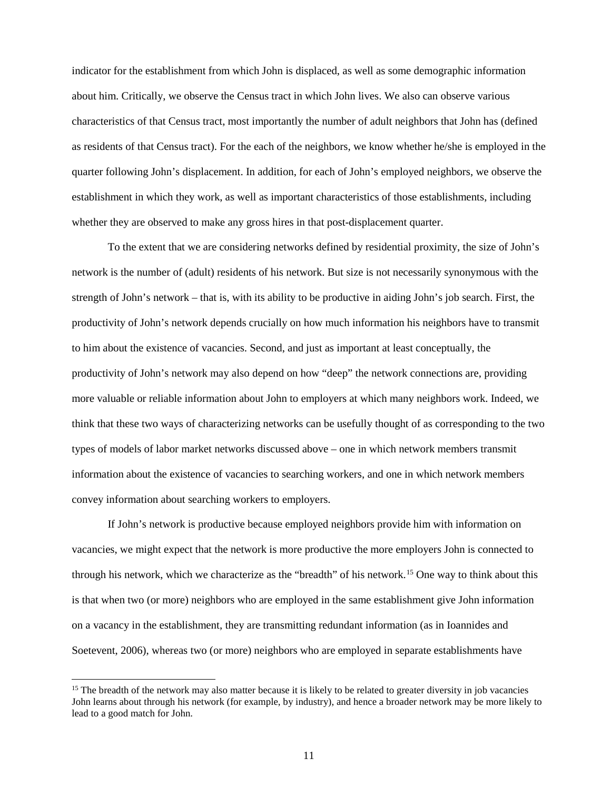indicator for the establishment from which John is displaced, as well as some demographic information about him. Critically, we observe the Census tract in which John lives. We also can observe various characteristics of that Census tract, most importantly the number of adult neighbors that John has (defined as residents of that Census tract). For the each of the neighbors, we know whether he/she is employed in the quarter following John's displacement. In addition, for each of John's employed neighbors, we observe the establishment in which they work, as well as important characteristics of those establishments, including whether they are observed to make any gross hires in that post-displacement quarter.

To the extent that we are considering networks defined by residential proximity, the size of John's network is the number of (adult) residents of his network. But size is not necessarily synonymous with the strength of John's network – that is, with its ability to be productive in aiding John's job search. First, the productivity of John's network depends crucially on how much information his neighbors have to transmit to him about the existence of vacancies. Second, and just as important at least conceptually, the productivity of John's network may also depend on how "deep" the network connections are, providing more valuable or reliable information about John to employers at which many neighbors work. Indeed, we think that these two ways of characterizing networks can be usefully thought of as corresponding to the two types of models of labor market networks discussed above – one in which network members transmit information about the existence of vacancies to searching workers, and one in which network members convey information about searching workers to employers.

If John's network is productive because employed neighbors provide him with information on vacancies, we might expect that the network is more productive the more employers John is connected to through his network, which we characterize as the "breadth" of his network.[15](#page-11-0) One way to think about this is that when two (or more) neighbors who are employed in the same establishment give John information on a vacancy in the establishment, they are transmitting redundant information (as in Ioannides and Soetevent, 2006), whereas two (or more) neighbors who are employed in separate establishments have

<span id="page-11-0"></span> $15$  The breadth of the network may also matter because it is likely to be related to greater diversity in job vacancies John learns about through his network (for example, by industry), and hence a broader network may be more likely to lead to a good match for John.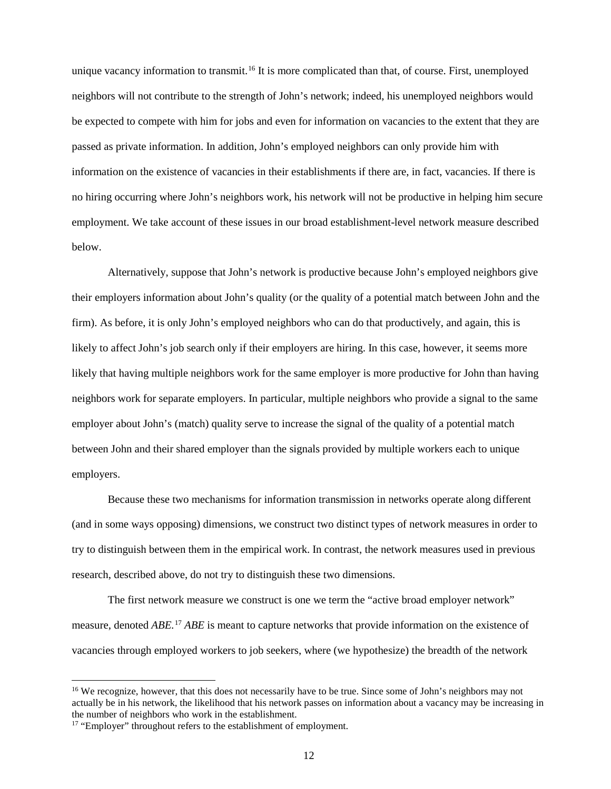unique vacancy information to transmit.<sup>[16](#page-12-0)</sup> It is more complicated than that, of course. First, unemployed neighbors will not contribute to the strength of John's network; indeed, his unemployed neighbors would be expected to compete with him for jobs and even for information on vacancies to the extent that they are passed as private information. In addition, John's employed neighbors can only provide him with information on the existence of vacancies in their establishments if there are, in fact, vacancies. If there is no hiring occurring where John's neighbors work, his network will not be productive in helping him secure employment. We take account of these issues in our broad establishment-level network measure described below.

Alternatively, suppose that John's network is productive because John's employed neighbors give their employers information about John's quality (or the quality of a potential match between John and the firm). As before, it is only John's employed neighbors who can do that productively, and again, this is likely to affect John's job search only if their employers are hiring. In this case, however, it seems more likely that having multiple neighbors work for the same employer is more productive for John than having neighbors work for separate employers. In particular, multiple neighbors who provide a signal to the same employer about John's (match) quality serve to increase the signal of the quality of a potential match between John and their shared employer than the signals provided by multiple workers each to unique employers.

Because these two mechanisms for information transmission in networks operate along different (and in some ways opposing) dimensions, we construct two distinct types of network measures in order to try to distinguish between them in the empirical work. In contrast, the network measures used in previous research, described above, do not try to distinguish these two dimensions.

The first network measure we construct is one we term the "active broad employer network" measure, denoted *ABE.* [17](#page-12-1) *ABE* is meant to capture networks that provide information on the existence of vacancies through employed workers to job seekers, where (we hypothesize) the breadth of the network

<span id="page-12-0"></span><sup>&</sup>lt;sup>16</sup> We recognize, however, that this does not necessarily have to be true. Since some of John's neighbors may not actually be in his network, the likelihood that his network passes on information about a vacancy may be increasing in

<span id="page-12-1"></span> $17$  "Employer" throughout refers to the establishment of employment.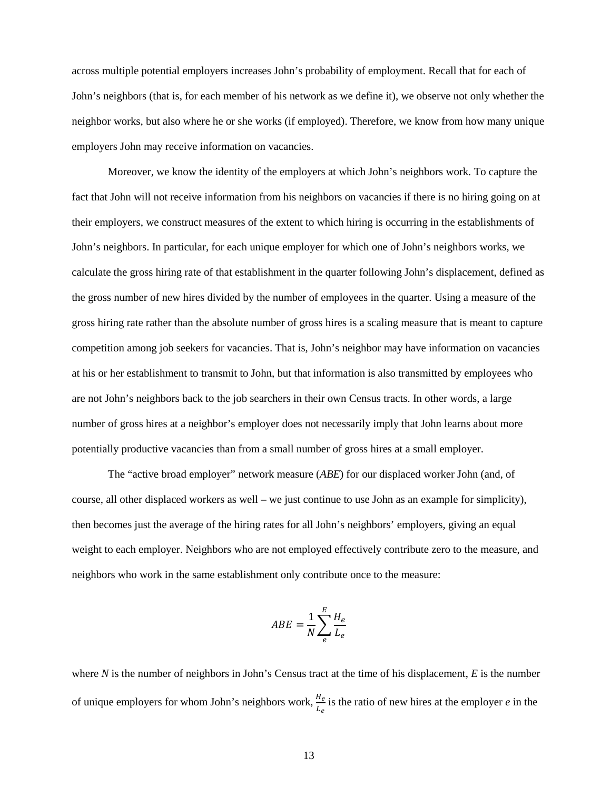across multiple potential employers increases John's probability of employment. Recall that for each of John's neighbors (that is, for each member of his network as we define it), we observe not only whether the neighbor works, but also where he or she works (if employed). Therefore, we know from how many unique employers John may receive information on vacancies.

Moreover, we know the identity of the employers at which John's neighbors work. To capture the fact that John will not receive information from his neighbors on vacancies if there is no hiring going on at their employers, we construct measures of the extent to which hiring is occurring in the establishments of John's neighbors. In particular, for each unique employer for which one of John's neighbors works, we calculate the gross hiring rate of that establishment in the quarter following John's displacement, defined as the gross number of new hires divided by the number of employees in the quarter. Using a measure of the gross hiring rate rather than the absolute number of gross hires is a scaling measure that is meant to capture competition among job seekers for vacancies. That is, John's neighbor may have information on vacancies at his or her establishment to transmit to John, but that information is also transmitted by employees who are not John's neighbors back to the job searchers in their own Census tracts. In other words, a large number of gross hires at a neighbor's employer does not necessarily imply that John learns about more potentially productive vacancies than from a small number of gross hires at a small employer.

The "active broad employer" network measure (*ABE*) for our displaced worker John (and, of course, all other displaced workers as well – we just continue to use John as an example for simplicity), then becomes just the average of the hiring rates for all John's neighbors' employers, giving an equal weight to each employer. Neighbors who are not employed effectively contribute zero to the measure, and neighbors who work in the same establishment only contribute once to the measure:

$$
ABE = \frac{1}{N} \sum_{e}^{E} \frac{H_e}{L_e}
$$

where *N* is the number of neighbors in John's Census tract at the time of his displacement, *E* is the number of unique employers for whom John's neighbors work,  $\frac{He}{L_e}$  is the ratio of new hires at the employer *e* in the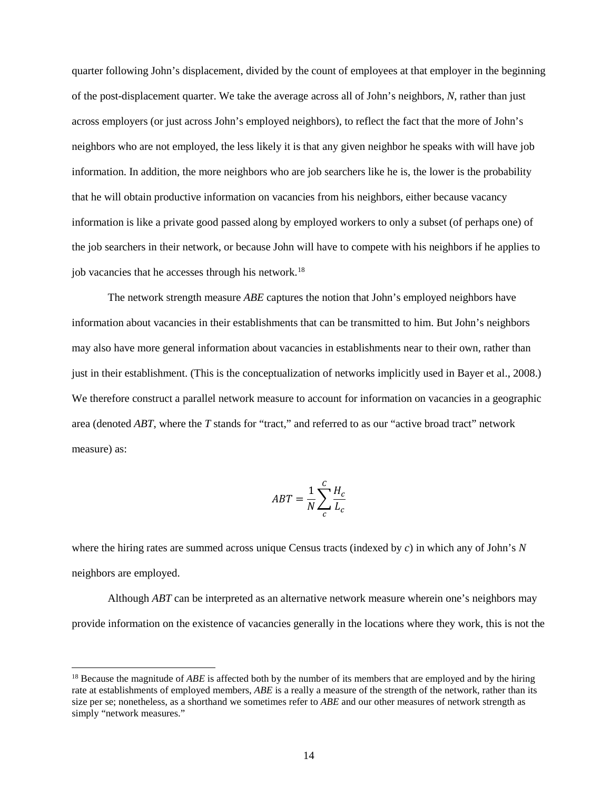quarter following John's displacement, divided by the count of employees at that employer in the beginning of the post-displacement quarter. We take the average across all of John's neighbors, *N*, rather than just across employers (or just across John's employed neighbors), to reflect the fact that the more of John's neighbors who are not employed, the less likely it is that any given neighbor he speaks with will have job information. In addition, the more neighbors who are job searchers like he is, the lower is the probability that he will obtain productive information on vacancies from his neighbors, either because vacancy information is like a private good passed along by employed workers to only a subset (of perhaps one) of the job searchers in their network, or because John will have to compete with his neighbors if he applies to job vacancies that he accesses through his network.<sup>[18](#page-14-0)</sup>

The network strength measure *ABE* captures the notion that John's employed neighbors have information about vacancies in their establishments that can be transmitted to him. But John's neighbors may also have more general information about vacancies in establishments near to their own, rather than just in their establishment. (This is the conceptualization of networks implicitly used in Bayer et al., 2008.) We therefore construct a parallel network measure to account for information on vacancies in a geographic area (denoted *ABT*, where the *T* stands for "tract," and referred to as our "active broad tract" network measure) as:

$$
ABT = \frac{1}{N} \sum_{c}^{C} \frac{H_c}{L_c}
$$

where the hiring rates are summed across unique Census tracts (indexed by *c*) in which any of John's *N* neighbors are employed.

Although *ABT* can be interpreted as an alternative network measure wherein one's neighbors may provide information on the existence of vacancies generally in the locations where they work, this is not the

<span id="page-14-0"></span><sup>&</sup>lt;sup>18</sup> Because the magnitude of *ABE* is affected both by the number of its members that are employed and by the hiring rate at establishments of employed members, *ABE* is a really a measure of the strength of the network, rather than its size per se; nonetheless, as a shorthand we sometimes refer to *ABE* and our other measures of network strength as simply "network measures."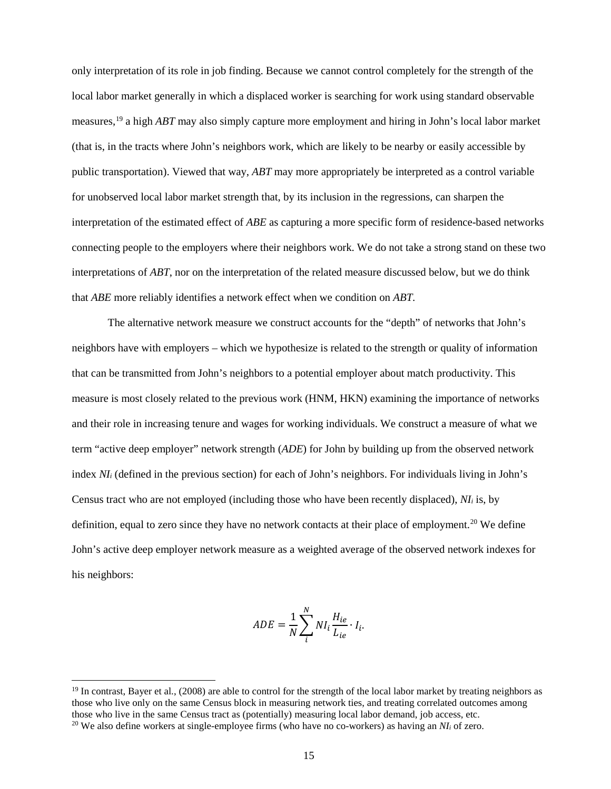only interpretation of its role in job finding. Because we cannot control completely for the strength of the local labor market generally in which a displaced worker is searching for work using standard observable measures, [19](#page-15-0) a high *ABT* may also simply capture more employment and hiring in John's local labor market (that is, in the tracts where John's neighbors work, which are likely to be nearby or easily accessible by public transportation). Viewed that way, *ABT* may more appropriately be interpreted as a control variable for unobserved local labor market strength that, by its inclusion in the regressions, can sharpen the interpretation of the estimated effect of *ABE* as capturing a more specific form of residence-based networks connecting people to the employers where their neighbors work. We do not take a strong stand on these two interpretations of *ABT*, nor on the interpretation of the related measure discussed below, but we do think that *ABE* more reliably identifies a network effect when we condition on *ABT*.

The alternative network measure we construct accounts for the "depth" of networks that John's neighbors have with employers – which we hypothesize is related to the strength or quality of information that can be transmitted from John's neighbors to a potential employer about match productivity. This measure is most closely related to the previous work (HNM, HKN) examining the importance of networks and their role in increasing tenure and wages for working individuals. We construct a measure of what we term "active deep employer" network strength (*ADE*) for John by building up from the observed network index *NI<sub>i</sub>* (defined in the previous section) for each of John's neighbors. For individuals living in John's Census tract who are not employed (including those who have been recently displaced), *NIi* is, by definition, equal to zero since they have no network contacts at their place of employment.<sup>20</sup> We define John's active deep employer network measure as a weighted average of the observed network indexes for his neighbors:

$$
ADE = \frac{1}{N} \sum_{i}^{N} NI_i \frac{H_{ie}}{L_{ie}} \cdot I_i.
$$

<span id="page-15-0"></span> $19$  In contrast, Bayer et al., (2008) are able to control for the strength of the local labor market by treating neighbors as those who live only on the same Census block in measuring network ties, and treating correlated outcomes among<br>those who live in the same Census tract as (potentially) measuring local labor demand, job access, etc. <sup>20</sup> We also define workers at single-employee firms (who have no co-workers) as having an *NI<sub>i</sub>* of zero.

<span id="page-15-1"></span>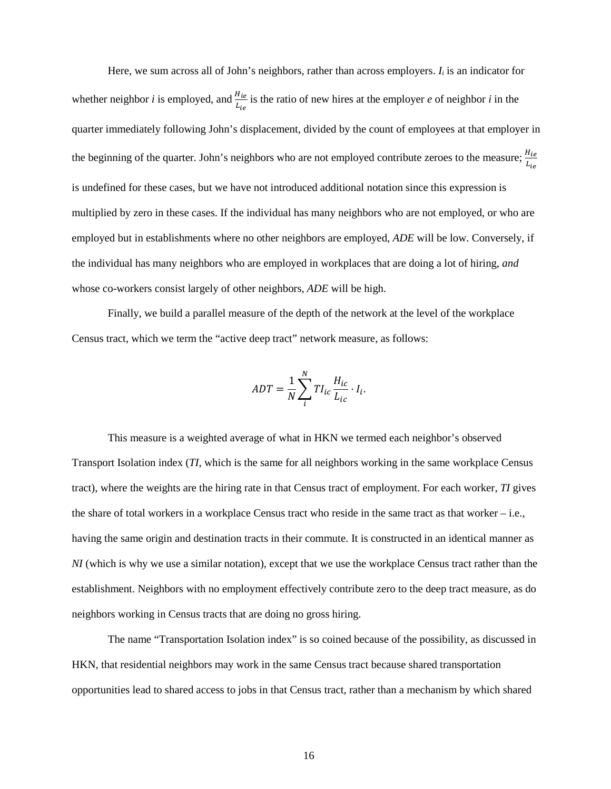Here, we sum across all of John's neighbors, rather than across employers. *Ii* is an indicator for whether neighbor *i* is employed, and  $\frac{H_{ie}}{L_{ie}}$  is the ratio of new hires at the employer *e* of neighbor *i* in the quarter immediately following John's displacement, divided by the count of employees at that employer in the beginning of the quarter. John's neighbors who are not employed contribute zeroes to the measure;  $\frac{H_i}{L_i}$ is undefined for these cases, but we have not introduced additional notation since this expression is multiplied by zero in these cases. If the individual has many neighbors who are not employed, or who are employed but in establishments where no other neighbors are employed, *ADE* will be low. Conversely, if the individual has many neighbors who are employed in workplaces that are doing a lot of hiring, *and* whose co-workers consist largely of other neighbors, *ADE* will be high.

Finally, we build a parallel measure of the depth of the network at the level of the workplace Census tract, which we term the "active deep tract" network measure, as follows:

$$
ADT = \frac{1}{N} \sum_{i}^{N} T I_{ic} \frac{H_{ic}}{L_{ic}} \cdot I_{i}.
$$

This measure is a weighted average of what in HKN we termed each neighbor's observed Transport Isolation index (*TI*, which is the same for all neighbors working in the same workplace Census tract), where the weights are the hiring rate in that Census tract of employment. For each worker, *TI* gives the share of total workers in a workplace Census tract who reside in the same tract as that worker – i.e., having the same origin and destination tracts in their commute. It is constructed in an identical manner as *NI* (which is why we use a similar notation), except that we use the workplace Census tract rather than the establishment. Neighbors with no employment effectively contribute zero to the deep tract measure, as do neighbors working in Census tracts that are doing no gross hiring.

The name "Transportation Isolation index" is so coined because of the possibility, as discussed in HKN, that residential neighbors may work in the same Census tract because shared transportation opportunities lead to shared access to jobs in that Census tract, rather than a mechanism by which shared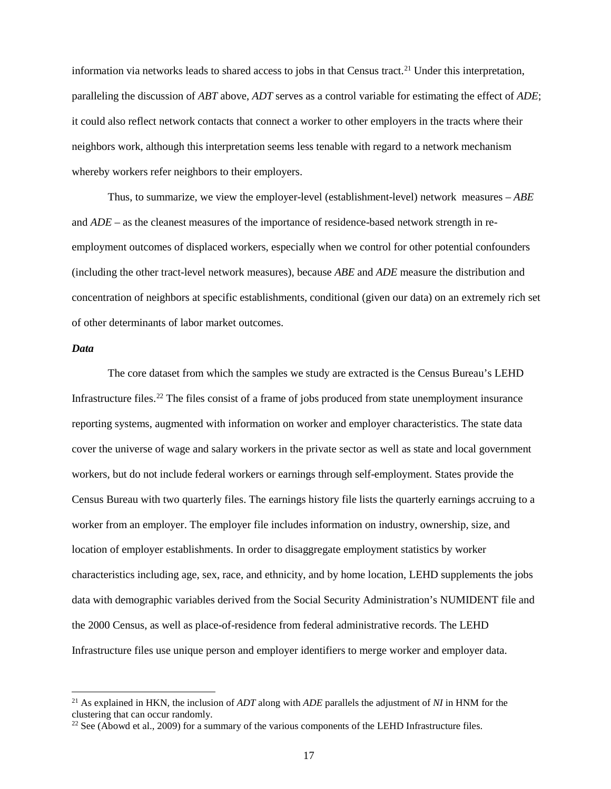information via networks leads to shared access to jobs in that Census tract. [21](#page-17-0) Under this interpretation, paralleling the discussion of *ABT* above, *ADT* serves as a control variable for estimating the effect of *ADE*; it could also reflect network contacts that connect a worker to other employers in the tracts where their neighbors work, although this interpretation seems less tenable with regard to a network mechanism whereby workers refer neighbors to their employers.

Thus, to summarize, we view the employer-level (establishment-level) network measures – *ABE*  and *ADE* – as the cleanest measures of the importance of residence-based network strength in reemployment outcomes of displaced workers, especially when we control for other potential confounders (including the other tract-level network measures), because *ABE* and *ADE* measure the distribution and concentration of neighbors at specific establishments, conditional (given our data) on an extremely rich set of other determinants of labor market outcomes.

#### *Data*

The core dataset from which the samples we study are extracted is the Census Bureau's LEHD Infrastructure files.[22](#page-17-1) The files consist of a frame of jobs produced from state unemployment insurance reporting systems, augmented with information on worker and employer characteristics. The state data cover the universe of wage and salary workers in the private sector as well as state and local government workers, but do not include federal workers or earnings through self-employment. States provide the Census Bureau with two quarterly files. The earnings history file lists the quarterly earnings accruing to a worker from an employer. The employer file includes information on industry, ownership, size, and location of employer establishments. In order to disaggregate employment statistics by worker characteristics including age, sex, race, and ethnicity, and by home location, LEHD supplements the jobs data with demographic variables derived from the Social Security Administration's NUMIDENT file and the 2000 Census, as well as place-of-residence from federal administrative records. The LEHD Infrastructure files use unique person and employer identifiers to merge worker and employer data.

<span id="page-17-0"></span> <sup>21</sup> As explained in HKN, the inclusion of *ADT* along with *ADE* parallels the adjustment of *NI* in HNM for the clustering that can occur randomly.

<span id="page-17-1"></span> $22$  See (Abowd et al., 2009) for a summary of the various components of the LEHD Infrastructure files.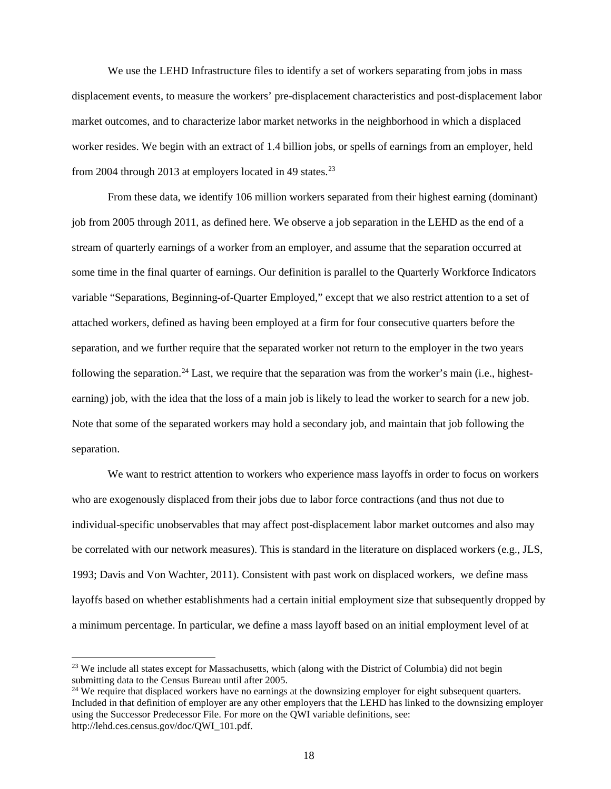We use the LEHD Infrastructure files to identify a set of workers separating from jobs in mass displacement events, to measure the workers' pre-displacement characteristics and post-displacement labor market outcomes, and to characterize labor market networks in the neighborhood in which a displaced worker resides. We begin with an extract of 1.4 billion jobs, or spells of earnings from an employer, held from 2004 through 2013 at employers located in 49 states.<sup>[23](#page-18-0)</sup>

From these data, we identify 106 million workers separated from their highest earning (dominant) job from 2005 through 2011, as defined here. We observe a job separation in the LEHD as the end of a stream of quarterly earnings of a worker from an employer, and assume that the separation occurred at some time in the final quarter of earnings. Our definition is parallel to the Quarterly Workforce Indicators variable "Separations, Beginning-of-Quarter Employed," except that we also restrict attention to a set of attached workers, defined as having been employed at a firm for four consecutive quarters before the separation, and we further require that the separated worker not return to the employer in the two years following the separation.<sup>[24](#page-18-1)</sup> Last, we require that the separation was from the worker's main (i.e., highestearning) job, with the idea that the loss of a main job is likely to lead the worker to search for a new job. Note that some of the separated workers may hold a secondary job, and maintain that job following the separation.

We want to restrict attention to workers who experience mass layoffs in order to focus on workers who are exogenously displaced from their jobs due to labor force contractions (and thus not due to individual-specific unobservables that may affect post-displacement labor market outcomes and also may be correlated with our network measures). This is standard in the literature on displaced workers (e.g., JLS, 1993; Davis and Von Wachter, 2011). Consistent with past work on displaced workers, we define mass layoffs based on whether establishments had a certain initial employment size that subsequently dropped by a minimum percentage. In particular, we define a mass layoff based on an initial employment level of at

<span id="page-18-0"></span><sup>&</sup>lt;sup>23</sup> We include all states except for Massachusetts, which (along with the District of Columbia) did not begin submitting data to the Census Bureau until after 2005.

<span id="page-18-1"></span><sup>&</sup>lt;sup>24</sup> We require that displaced workers have no earnings at the downsizing employer for eight subsequent quarters. Included in that definition of employer are any other employers that the LEHD has linked to the downsizing employer using the Successor Predecessor File. For more on the QWI variable definitions, see: http://lehd.ces.census.gov/doc/QWI\_101.pdf.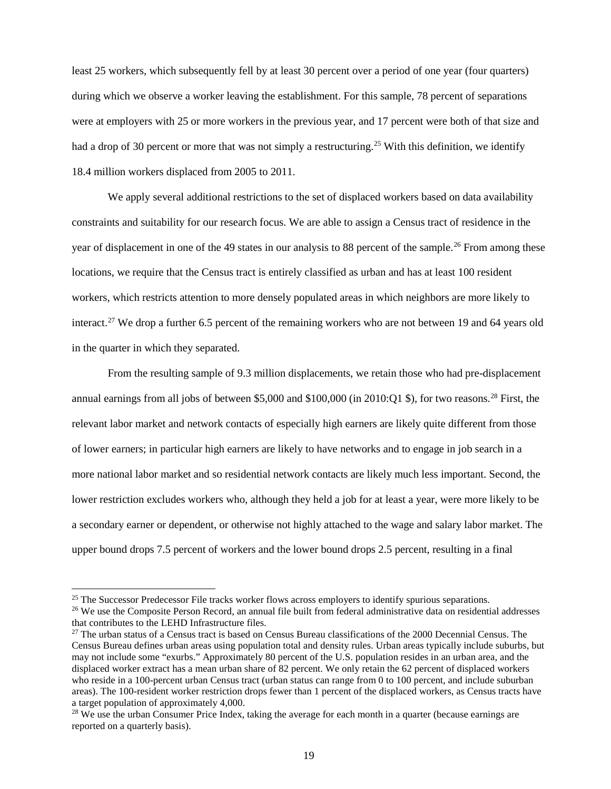least 25 workers, which subsequently fell by at least 30 percent over a period of one year (four quarters) during which we observe a worker leaving the establishment. For this sample, 78 percent of separations were at employers with 25 or more workers in the previous year, and 17 percent were both of that size and had a drop of 30 percent or more that was not simply a restructuring.<sup>[25](#page-19-0)</sup> With this definition, we identify 18.4 million workers displaced from 2005 to 2011.

We apply several additional restrictions to the set of displaced workers based on data availability constraints and suitability for our research focus. We are able to assign a Census tract of residence in the year of displacement in one of the 49 states in our analysis to 88 percent of the sample.<sup>[26](#page-19-1)</sup> From among these locations, we require that the Census tract is entirely classified as urban and has at least 100 resident workers, which restricts attention to more densely populated areas in which neighbors are more likely to interact.<sup>[27](#page-19-2)</sup> We drop a further 6.5 percent of the remaining workers who are not between 19 and 64 years old in the quarter in which they separated.

From the resulting sample of 9.3 million displacements, we retain those who had pre-displacement annual earnings from all jobs of between \$5,000 and  $$100,000$  (in 2010:Q1 \$), for two reasons.<sup>[28](#page-19-3)</sup> First, the relevant labor market and network contacts of especially high earners are likely quite different from those of lower earners; in particular high earners are likely to have networks and to engage in job search in a more national labor market and so residential network contacts are likely much less important. Second, the lower restriction excludes workers who, although they held a job for at least a year, were more likely to be a secondary earner or dependent, or otherwise not highly attached to the wage and salary labor market. The upper bound drops 7.5 percent of workers and the lower bound drops 2.5 percent, resulting in a final

<span id="page-19-0"></span><sup>&</sup>lt;sup>25</sup> The Successor Predecessor File tracks worker flows across employers to identify spurious separations.<br><sup>26</sup> We use the Composite Person Record, an annual file built from federal administrative data on residential addr

<span id="page-19-1"></span>that contributes to the LEHD Infrastructure files.

<span id="page-19-2"></span> $27$  The urban status of a Census tract is based on Census Bureau classifications of the 2000 Decennial Census. The Census Bureau defines urban areas using population total and density rules. Urban areas typically include suburbs, but may not include some "exurbs." Approximately 80 percent of the U.S. population resides in an urban area, and the displaced worker extract has a mean urban share of 82 percent. We only retain the 62 percent of displaced workers who reside in a 100-percent urban Census tract (urban status can range from 0 to 100 percent, and include suburban areas). The 100-resident worker restriction drops fewer than 1 percent of the displaced workers, as Census tracts have a target population of approximately 4,000.

<span id="page-19-3"></span><sup>&</sup>lt;sup>28</sup> We use the urban Consumer Price Index, taking the average for each month in a quarter (because earnings are reported on a quarterly basis).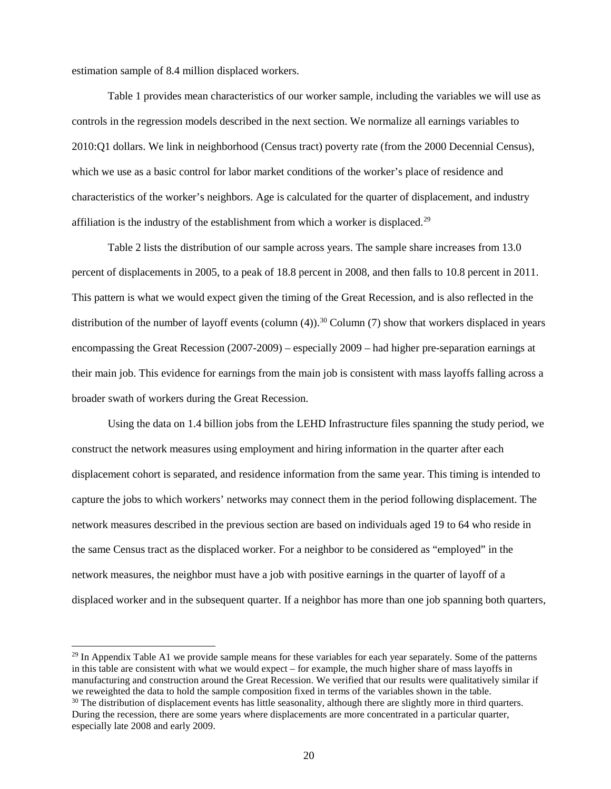estimation sample of 8.4 million displaced workers.

Table 1 provides mean characteristics of our worker sample, including the variables we will use as controls in the regression models described in the next section. We normalize all earnings variables to 2010:Q1 dollars. We link in neighborhood (Census tract) poverty rate (from the 2000 Decennial Census), which we use as a basic control for labor market conditions of the worker's place of residence and characteristics of the worker's neighbors. Age is calculated for the quarter of displacement, and industry affiliation is the industry of the establishment from which a worker is displaced.<sup>[29](#page-20-0)</sup>

Table 2 lists the distribution of our sample across years. The sample share increases from 13.0 percent of displacements in 2005, to a peak of 18.8 percent in 2008, and then falls to 10.8 percent in 2011. This pattern is what we would expect given the timing of the Great Recession, and is also reflected in the distribution of the number of layoff events (column  $(4)$ ).<sup>[30](#page-20-1)</sup> Column  $(7)$  show that workers displaced in years encompassing the Great Recession (2007-2009) – especially 2009 – had higher pre-separation earnings at their main job. This evidence for earnings from the main job is consistent with mass layoffs falling across a broader swath of workers during the Great Recession.

Using the data on 1.4 billion jobs from the LEHD Infrastructure files spanning the study period, we construct the network measures using employment and hiring information in the quarter after each displacement cohort is separated, and residence information from the same year. This timing is intended to capture the jobs to which workers' networks may connect them in the period following displacement. The network measures described in the previous section are based on individuals aged 19 to 64 who reside in the same Census tract as the displaced worker. For a neighbor to be considered as "employed" in the network measures, the neighbor must have a job with positive earnings in the quarter of layoff of a displaced worker and in the subsequent quarter. If a neighbor has more than one job spanning both quarters,

<span id="page-20-1"></span><span id="page-20-0"></span> $^{29}$  In Appendix Table A1 we provide sample means for these variables for each year separately. Some of the patterns in this table are consistent with what we would expect – for example, the much higher share of mass layoffs in manufacturing and construction around the Great Recession. We verified that our results were qualitatively similar if we reweighted the data to hold the sample composition fixed in terms of the variables shown in the table.  $30$  The distribution of displacement events has little seasonality, although there are slightly more in third quar During the recession, there are some years where displacements are more concentrated in a particular quarter, especially late 2008 and early 2009.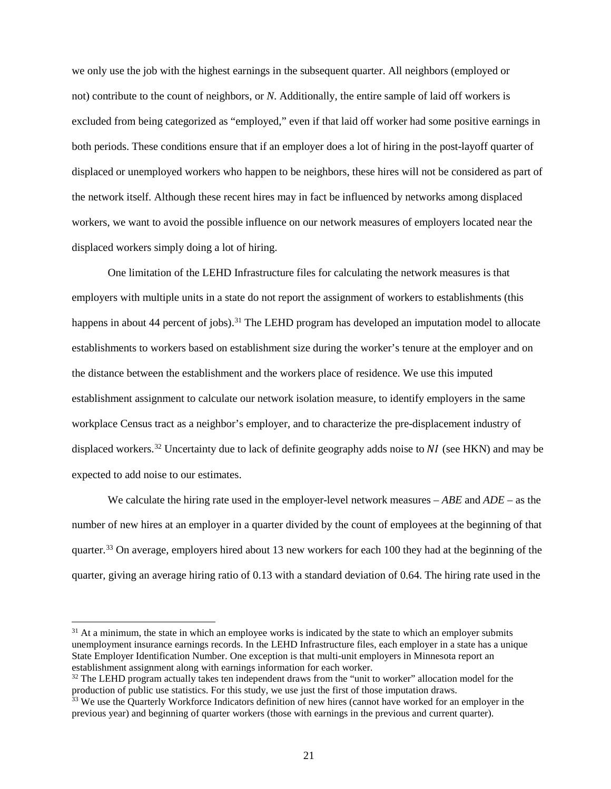we only use the job with the highest earnings in the subsequent quarter. All neighbors (employed or not) contribute to the count of neighbors, or *N*. Additionally, the entire sample of laid off workers is excluded from being categorized as "employed," even if that laid off worker had some positive earnings in both periods. These conditions ensure that if an employer does a lot of hiring in the post-layoff quarter of displaced or unemployed workers who happen to be neighbors, these hires will not be considered as part of the network itself. Although these recent hires may in fact be influenced by networks among displaced workers, we want to avoid the possible influence on our network measures of employers located near the displaced workers simply doing a lot of hiring.

One limitation of the LEHD Infrastructure files for calculating the network measures is that employers with multiple units in a state do not report the assignment of workers to establishments (this happens in about 44 percent of jobs).<sup>[31](#page-21-0)</sup> The LEHD program has developed an imputation model to allocate establishments to workers based on establishment size during the worker's tenure at the employer and on the distance between the establishment and the workers place of residence. We use this imputed establishment assignment to calculate our network isolation measure, to identify employers in the same workplace Census tract as a neighbor's employer, and to characterize the pre-displacement industry of displaced workers.<sup>[32](#page-21-1)</sup> Uncertainty due to lack of definite geography adds noise to  $NI$  (see HKN) and may be expected to add noise to our estimates.

We calculate the hiring rate used in the employer-level network measures – *ABE* and *ADE* – as the number of new hires at an employer in a quarter divided by the count of employees at the beginning of that quarter.<sup>[33](#page-21-2)</sup> On average, employers hired about 13 new workers for each 100 they had at the beginning of the quarter, giving an average hiring ratio of 0.13 with a standard deviation of 0.64. The hiring rate used in the

<span id="page-21-0"></span> $31$  At a minimum, the state in which an employee works is indicated by the state to which an employer submits unemployment insurance earnings records. In the LEHD Infrastructure files, each employer in a state has a unique State Employer Identification Number. One exception is that multi-unit employers in Minnesota report an establishment assignment along with earnings information for each worker.

<span id="page-21-1"></span><sup>&</sup>lt;sup>32</sup> The LEHD program actually takes ten independent draws from the "unit to worker" allocation model for the production of public use statistics. For this study, we use just the first of those imputation draws.

<span id="page-21-2"></span><sup>&</sup>lt;sup>33</sup> We use the Quarterly Workforce Indicators definition of new hires (cannot have worked for an employer in the previous year) and beginning of quarter workers (those with earnings in the previous and current quarter).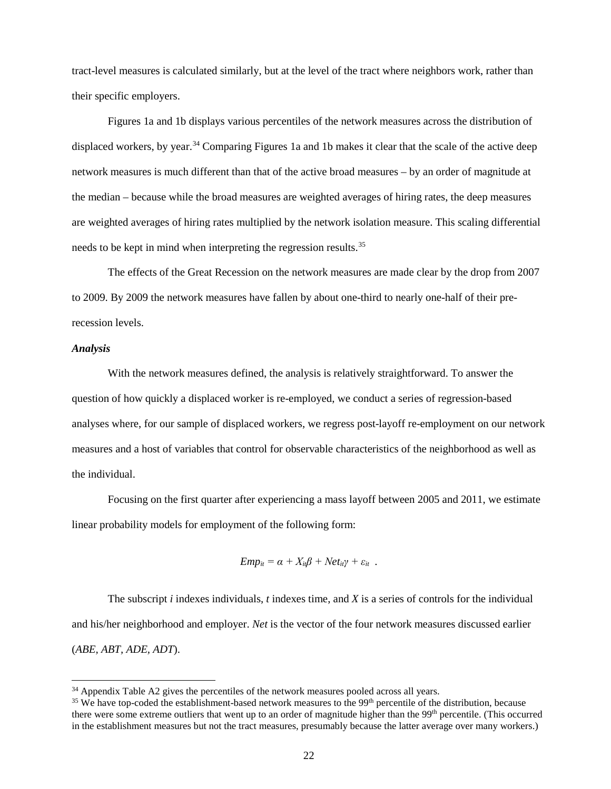tract-level measures is calculated similarly, but at the level of the tract where neighbors work, rather than their specific employers.

Figures 1a and 1b displays various percentiles of the network measures across the distribution of displaced workers, by year.<sup>[34](#page-22-0)</sup> Comparing Figures 1a and 1b makes it clear that the scale of the active deep network measures is much different than that of the active broad measures – by an order of magnitude at the median – because while the broad measures are weighted averages of hiring rates, the deep measures are weighted averages of hiring rates multiplied by the network isolation measure. This scaling differential needs to be kept in mind when interpreting the regression results.<sup>[35](#page-22-1)</sup>

The effects of the Great Recession on the network measures are made clear by the drop from 2007 to 2009. By 2009 the network measures have fallen by about one-third to nearly one-half of their prerecession levels.

#### *Analysis*

With the network measures defined, the analysis is relatively straightforward. To answer the question of how quickly a displaced worker is re-employed, we conduct a series of regression-based analyses where, for our sample of displaced workers, we regress post-layoff re-employment on our network measures and a host of variables that control for observable characteristics of the neighborhood as well as the individual.

Focusing on the first quarter after experiencing a mass layoff between 2005 and 2011, we estimate linear probability models for employment of the following form:

$$
Emp_{it} = \alpha + X_{it}\beta + Net_{it}\gamma + \varepsilon_{it}.
$$

The subscript *i* indexes individuals, *t* indexes time, and *X* is a series of controls for the individual and his/her neighborhood and employer. *Net* is the vector of the four network measures discussed earlier (*ABE, ABT, ADE, ADT*).

<span id="page-22-0"></span><sup>&</sup>lt;sup>34</sup> Appendix Table A2 gives the percentiles of the network measures pooled across all years.

<span id="page-22-1"></span> $35$  We have top-coded the establishment-based network measures to the 99<sup>th</sup> percentile of the distribution, because there were some extreme outliers that went up to an order of magnitude higher than the 99<sup>th</sup> percentile. (This occurred in the establishment measures but not the tract measures, presumably because the latter average over many workers.)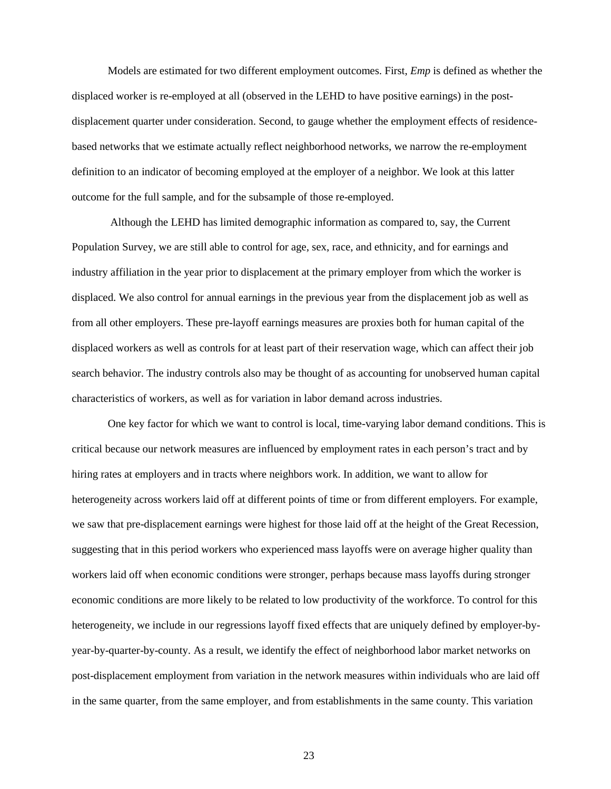Models are estimated for two different employment outcomes. First, *Emp* is defined as whether the displaced worker is re-employed at all (observed in the LEHD to have positive earnings) in the postdisplacement quarter under consideration. Second, to gauge whether the employment effects of residencebased networks that we estimate actually reflect neighborhood networks, we narrow the re-employment definition to an indicator of becoming employed at the employer of a neighbor. We look at this latter outcome for the full sample, and for the subsample of those re-employed.

Although the LEHD has limited demographic information as compared to, say, the Current Population Survey, we are still able to control for age, sex, race, and ethnicity, and for earnings and industry affiliation in the year prior to displacement at the primary employer from which the worker is displaced. We also control for annual earnings in the previous year from the displacement job as well as from all other employers. These pre-layoff earnings measures are proxies both for human capital of the displaced workers as well as controls for at least part of their reservation wage, which can affect their job search behavior. The industry controls also may be thought of as accounting for unobserved human capital characteristics of workers, as well as for variation in labor demand across industries.

One key factor for which we want to control is local, time-varying labor demand conditions. This is critical because our network measures are influenced by employment rates in each person's tract and by hiring rates at employers and in tracts where neighbors work. In addition, we want to allow for heterogeneity across workers laid off at different points of time or from different employers. For example, we saw that pre-displacement earnings were highest for those laid off at the height of the Great Recession, suggesting that in this period workers who experienced mass layoffs were on average higher quality than workers laid off when economic conditions were stronger, perhaps because mass layoffs during stronger economic conditions are more likely to be related to low productivity of the workforce. To control for this heterogeneity, we include in our regressions layoff fixed effects that are uniquely defined by employer-byyear-by-quarter-by-county. As a result, we identify the effect of neighborhood labor market networks on post-displacement employment from variation in the network measures within individuals who are laid off in the same quarter, from the same employer, and from establishments in the same county. This variation

23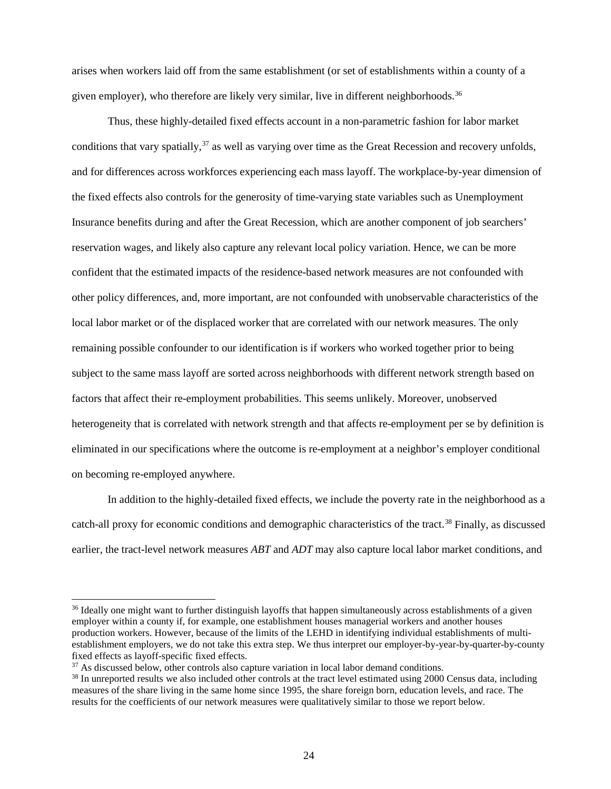arises when workers laid off from the same establishment (or set of establishments within a county of a given employer), who therefore are likely very similar, live in different neighborhoods.<sup>[36](#page-24-0)</sup>

Thus, these highly-detailed fixed effects account in a non-parametric fashion for labor market conditions that vary spatially,<sup>[37](#page-24-1)</sup> as well as varying over time as the Great Recession and recovery unfolds, and for differences across workforces experiencing each mass layoff. The workplace-by-year dimension of the fixed effects also controls for the generosity of time-varying state variables such as Unemployment Insurance benefits during and after the Great Recession, which are another component of job searchers' reservation wages, and likely also capture any relevant local policy variation. Hence, we can be more confident that the estimated impacts of the residence-based network measures are not confounded with other policy differences, and, more important, are not confounded with unobservable characteristics of the local labor market or of the displaced worker that are correlated with our network measures. The only remaining possible confounder to our identification is if workers who worked together prior to being subject to the same mass layoff are sorted across neighborhoods with different network strength based on factors that affect their re-employment probabilities. This seems unlikely. Moreover, unobserved heterogeneity that is correlated with network strength and that affects re-employment per se by definition is eliminated in our specifications where the outcome is re-employment at a neighbor's employer conditional on becoming re-employed anywhere.

In addition to the highly-detailed fixed effects, we include the poverty rate in the neighborhood as a catch-all proxy for economic conditions and demographic characteristics of the tract.<sup>[38](#page-24-2)</sup> Finally, as discussed earlier, the tract-level network measures *ABT* and *ADT* may also capture local labor market conditions, and

<span id="page-24-0"></span><sup>&</sup>lt;sup>36</sup> Ideally one might want to further distinguish layoffs that happen simultaneously across establishments of a given employer within a county if, for example, one establishment houses managerial workers and another houses production workers. However, because of the limits of the LEHD in identifying individual establishments of multiestablishment employers, we do not take this extra step. We thus interpret our employer-by-year-by-quarter-by-county fixed effects as layoff-specific fixed effects.

<span id="page-24-2"></span><span id="page-24-1"></span> $37$  As discussed below, other controls also capture variation in local labor demand conditions.<br> $38$  In unreported results we also included other controls at the tract level estimated using 2000 Census data, including measures of the share living in the same home since 1995, the share foreign born, education levels, and race. The results for the coefficients of our network measures were qualitatively similar to those we report below.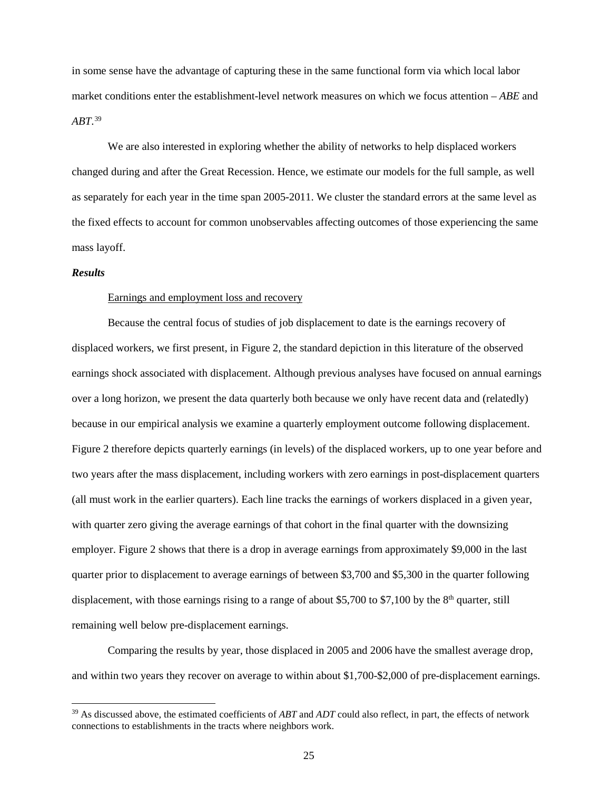in some sense have the advantage of capturing these in the same functional form via which local labor market conditions enter the establishment-level network measures on which we focus attention – *ABE* and *ABT*. [39](#page-25-0)

We are also interested in exploring whether the ability of networks to help displaced workers changed during and after the Great Recession. Hence, we estimate our models for the full sample, as well as separately for each year in the time span 2005-2011. We cluster the standard errors at the same level as the fixed effects to account for common unobservables affecting outcomes of those experiencing the same mass layoff.

#### *Results*

#### Earnings and employment loss and recovery

Because the central focus of studies of job displacement to date is the earnings recovery of displaced workers, we first present, in Figure 2, the standard depiction in this literature of the observed earnings shock associated with displacement. Although previous analyses have focused on annual earnings over a long horizon, we present the data quarterly both because we only have recent data and (relatedly) because in our empirical analysis we examine a quarterly employment outcome following displacement. Figure 2 therefore depicts quarterly earnings (in levels) of the displaced workers, up to one year before and two years after the mass displacement, including workers with zero earnings in post-displacement quarters (all must work in the earlier quarters). Each line tracks the earnings of workers displaced in a given year, with quarter zero giving the average earnings of that cohort in the final quarter with the downsizing employer. Figure 2 shows that there is a drop in average earnings from approximately \$9,000 in the last quarter prior to displacement to average earnings of between \$3,700 and \$5,300 in the quarter following displacement, with those earnings rising to a range of about \$5,700 to \$7,100 by the  $8<sup>th</sup>$  quarter, still remaining well below pre-displacement earnings.

Comparing the results by year, those displaced in 2005 and 2006 have the smallest average drop, and within two years they recover on average to within about \$1,700-\$2,000 of pre-displacement earnings.

<span id="page-25-0"></span> <sup>39</sup> As discussed above, the estimated coefficients of *ABT* and *ADT* could also reflect, in part, the effects of network connections to establishments in the tracts where neighbors work.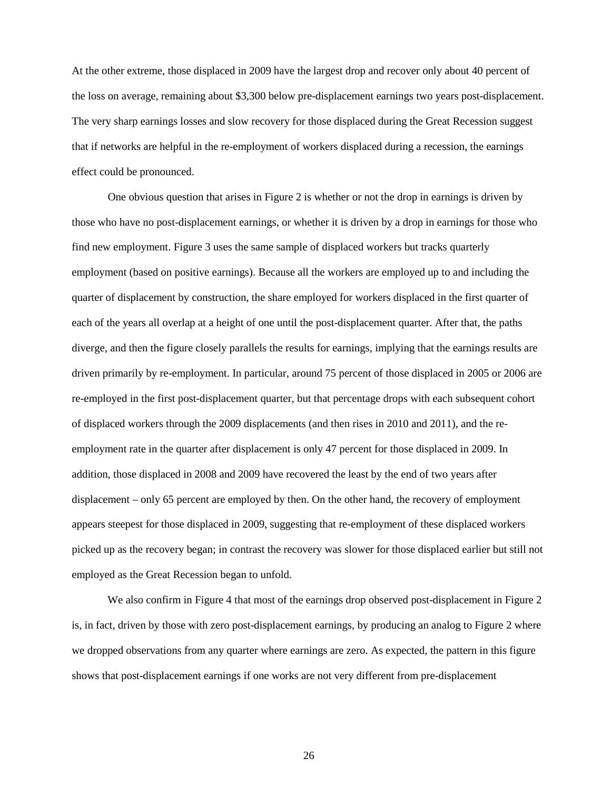At the other extreme, those displaced in 2009 have the largest drop and recover only about 40 percent of the loss on average, remaining about \$3,300 below pre-displacement earnings two years post-displacement. The very sharp earnings losses and slow recovery for those displaced during the Great Recession suggest that if networks are helpful in the re-employment of workers displaced during a recession, the earnings effect could be pronounced.

One obvious question that arises in Figure 2 is whether or not the drop in earnings is driven by those who have no post-displacement earnings, or whether it is driven by a drop in earnings for those who find new employment. Figure 3 uses the same sample of displaced workers but tracks quarterly employment (based on positive earnings). Because all the workers are employed up to and including the quarter of displacement by construction, the share employed for workers displaced in the first quarter of each of the years all overlap at a height of one until the post-displacement quarter. After that, the paths diverge, and then the figure closely parallels the results for earnings, implying that the earnings results are driven primarily by re-employment. In particular, around 75 percent of those displaced in 2005 or 2006 are re-employed in the first post-displacement quarter, but that percentage drops with each subsequent cohort of displaced workers through the 2009 displacements (and then rises in 2010 and 2011), and the reemployment rate in the quarter after displacement is only 47 percent for those displaced in 2009. In addition, those displaced in 2008 and 2009 have recovered the least by the end of two years after displacement – only 65 percent are employed by then. On the other hand, the recovery of employment appears steepest for those displaced in 2009, suggesting that re-employment of these displaced workers picked up as the recovery began; in contrast the recovery was slower for those displaced earlier but still not employed as the Great Recession began to unfold.

We also confirm in Figure 4 that most of the earnings drop observed post-displacement in Figure 2 is, in fact, driven by those with zero post-displacement earnings, by producing an analog to Figure 2 where we dropped observations from any quarter where earnings are zero. As expected, the pattern in this figure shows that post-displacement earnings if one works are not very different from pre-displacement

26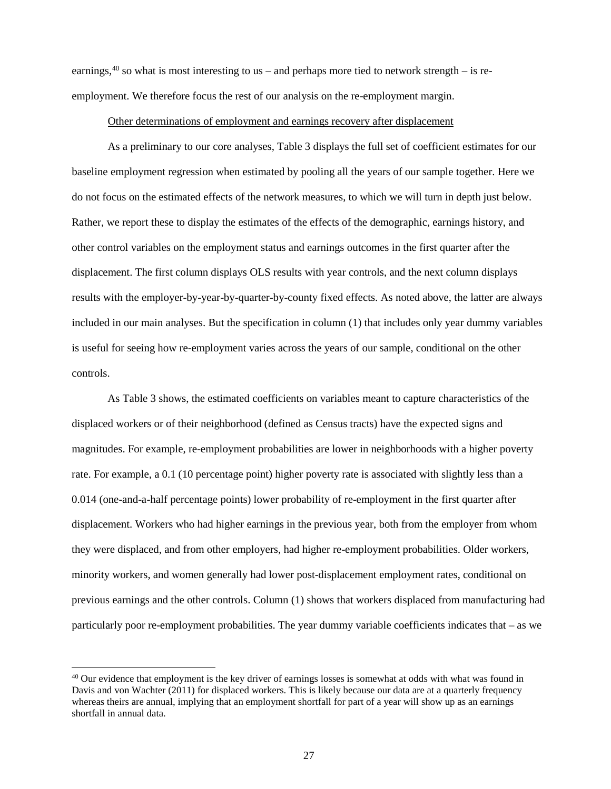earnings,<sup>[40](#page-27-0)</sup> so what is most interesting to us – and perhaps more tied to network strength – is reemployment. We therefore focus the rest of our analysis on the re-employment margin.

#### Other determinations of employment and earnings recovery after displacement

As a preliminary to our core analyses, Table 3 displays the full set of coefficient estimates for our baseline employment regression when estimated by pooling all the years of our sample together. Here we do not focus on the estimated effects of the network measures, to which we will turn in depth just below. Rather, we report these to display the estimates of the effects of the demographic, earnings history, and other control variables on the employment status and earnings outcomes in the first quarter after the displacement. The first column displays OLS results with year controls, and the next column displays results with the employer-by-year-by-quarter-by-county fixed effects. As noted above, the latter are always included in our main analyses. But the specification in column (1) that includes only year dummy variables is useful for seeing how re-employment varies across the years of our sample, conditional on the other controls.

As Table 3 shows, the estimated coefficients on variables meant to capture characteristics of the displaced workers or of their neighborhood (defined as Census tracts) have the expected signs and magnitudes. For example, re-employment probabilities are lower in neighborhoods with a higher poverty rate. For example, a 0.1 (10 percentage point) higher poverty rate is associated with slightly less than a 0.014 (one-and-a-half percentage points) lower probability of re-employment in the first quarter after displacement. Workers who had higher earnings in the previous year, both from the employer from whom they were displaced, and from other employers, had higher re-employment probabilities. Older workers, minority workers, and women generally had lower post-displacement employment rates, conditional on previous earnings and the other controls. Column (1) shows that workers displaced from manufacturing had particularly poor re-employment probabilities. The year dummy variable coefficients indicates that – as we

<span id="page-27-0"></span><sup>&</sup>lt;sup>40</sup> Our evidence that employment is the key driver of earnings losses is somewhat at odds with what was found in Davis and von Wachter (2011) for displaced workers. This is likely because our data are at a quarterly frequency whereas theirs are annual, implying that an employment shortfall for part of a year will show up as an earnings shortfall in annual data.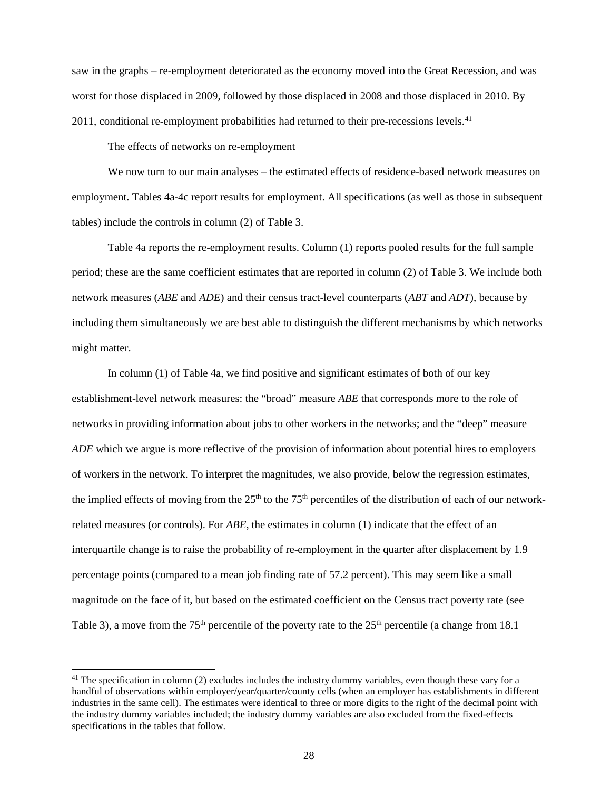saw in the graphs – re-employment deteriorated as the economy moved into the Great Recession, and was worst for those displaced in 2009, followed by those displaced in 2008 and those displaced in 2010. By 2011, conditional re-employment probabilities had returned to their pre-recessions levels.<sup>[41](#page-28-0)</sup>

#### The effects of networks on re-employment

We now turn to our main analyses – the estimated effects of residence-based network measures on employment. Tables 4a-4c report results for employment. All specifications (as well as those in subsequent tables) include the controls in column (2) of Table 3.

Table 4a reports the re-employment results. Column (1) reports pooled results for the full sample period; these are the same coefficient estimates that are reported in column (2) of Table 3. We include both network measures (*ABE* and *ADE*) and their census tract-level counterparts (*ABT* and *ADT*), because by including them simultaneously we are best able to distinguish the different mechanisms by which networks might matter.

In column (1) of Table 4a, we find positive and significant estimates of both of our key establishment-level network measures: the "broad" measure *ABE* that corresponds more to the role of networks in providing information about jobs to other workers in the networks; and the "deep" measure *ADE* which we argue is more reflective of the provision of information about potential hires to employers of workers in the network. To interpret the magnitudes, we also provide, below the regression estimates, the implied effects of moving from the  $25<sup>th</sup>$  to the 75<sup>th</sup> percentiles of the distribution of each of our networkrelated measures (or controls). For *ABE*, the estimates in column (1) indicate that the effect of an interquartile change is to raise the probability of re-employment in the quarter after displacement by 1.9 percentage points (compared to a mean job finding rate of 57.2 percent). This may seem like a small magnitude on the face of it, but based on the estimated coefficient on the Census tract poverty rate (see Table 3), a move from the  $75<sup>th</sup>$  percentile of the poverty rate to the  $25<sup>th</sup>$  percentile (a change from 18.1)

<span id="page-28-0"></span><sup>&</sup>lt;sup>41</sup> The specification in column (2) excludes includes the industry dummy variables, even though these vary for a handful of observations within employer/year/quarter/county cells (when an employer has establishments in different industries in the same cell). The estimates were identical to three or more digits to the right of the decimal point with the industry dummy variables included; the industry dummy variables are also excluded from the fixed-effects specifications in the tables that follow.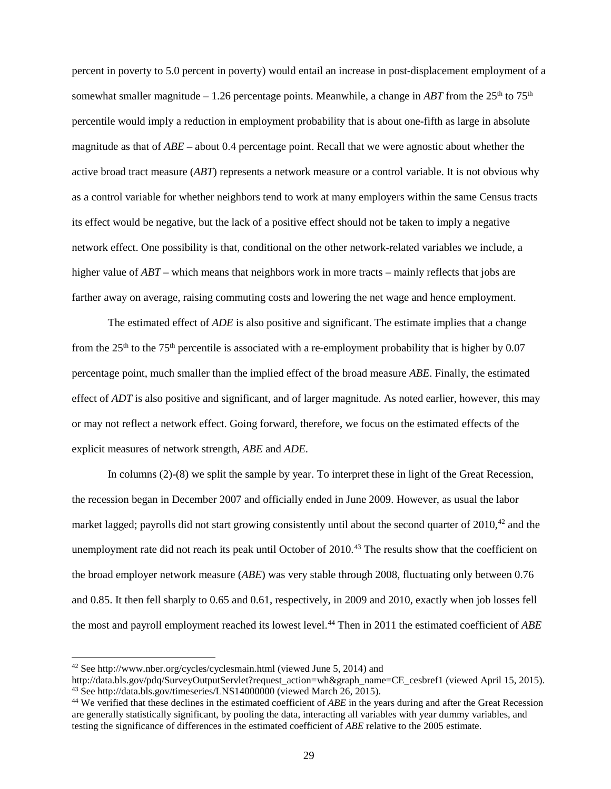percent in poverty to 5.0 percent in poverty) would entail an increase in post-displacement employment of a somewhat smaller magnitude – 1.26 percentage points. Meanwhile, a change in *ABT* from the  $25<sup>th</sup>$  to  $75<sup>th</sup>$ percentile would imply a reduction in employment probability that is about one-fifth as large in absolute magnitude as that of *ABE* – about 0.4 percentage point. Recall that we were agnostic about whether the active broad tract measure (*ABT*) represents a network measure or a control variable. It is not obvious why as a control variable for whether neighbors tend to work at many employers within the same Census tracts its effect would be negative, but the lack of a positive effect should not be taken to imply a negative network effect. One possibility is that, conditional on the other network-related variables we include, a higher value of *ABT* – which means that neighbors work in more tracts – mainly reflects that jobs are farther away on average, raising commuting costs and lowering the net wage and hence employment.

The estimated effect of *ADE* is also positive and significant. The estimate implies that a change from the  $25<sup>th</sup>$  to the 75<sup>th</sup> percentile is associated with a re-employment probability that is higher by 0.07 percentage point, much smaller than the implied effect of the broad measure *ABE*. Finally, the estimated effect of *ADT* is also positive and significant, and of larger magnitude. As noted earlier, however, this may or may not reflect a network effect. Going forward, therefore, we focus on the estimated effects of the explicit measures of network strength, *ABE* and *ADE*.

In columns (2)-(8) we split the sample by year. To interpret these in light of the Great Recession, the recession began in December 2007 and officially ended in June 2009. However, as usual the labor market lagged; payrolls did not start growing consistently until about the second quarter of 2010,<sup>[42](#page-29-0)</sup> and the unemployment rate did not reach its peak until October of 2010.<sup>[43](#page-29-1)</sup> The results show that the coefficient on the broad employer network measure (*ABE*) was very stable through 2008, fluctuating only between 0.76 and 0.85. It then fell sharply to 0.65 and 0.61, respectively, in 2009 and 2010, exactly when job losses fell the most and payroll employment reached its lowest level.<sup>[44](#page-29-2)</sup> Then in 2011 the estimated coefficient of *ABE* 

<span id="page-29-0"></span> <sup>42</sup> See http://www.nber.org/cycles/cyclesmain.html (viewed June 5, 2014) and

<span id="page-29-1"></span>http://data.bls.gov/pdq/SurveyOutputServlet?request\_action=wh&graph\_name=CE\_cesbref1 (viewed April 15, 2015). <sup>43</sup> See http://data.bls.gov/timeseries/LNS14000000 (viewed March 26, 2015).

<span id="page-29-2"></span><sup>44</sup> We verified that these declines in the estimated coefficient of *ABE* in the years during and after the Great Recession are generally statistically significant, by pooling the data, interacting all variables with year dummy variables, and testing the significance of differences in the estimated coefficient of *ABE* relative to the 2005 estimate.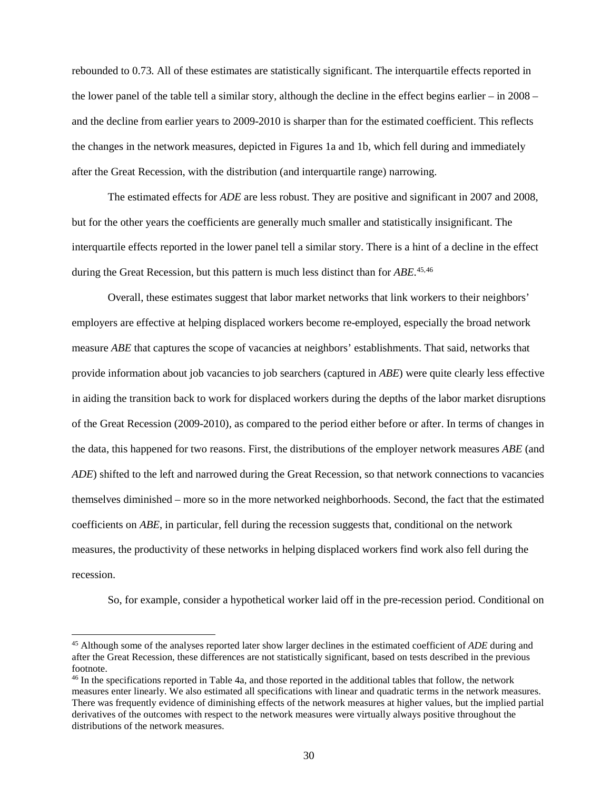rebounded to 0.73. All of these estimates are statistically significant. The interquartile effects reported in the lower panel of the table tell a similar story, although the decline in the effect begins earlier – in 2008 – and the decline from earlier years to 2009-2010 is sharper than for the estimated coefficient. This reflects the changes in the network measures, depicted in Figures 1a and 1b, which fell during and immediately after the Great Recession, with the distribution (and interquartile range) narrowing.

The estimated effects for *ADE* are less robust. They are positive and significant in 2007 and 2008, but for the other years the coefficients are generally much smaller and statistically insignificant. The interquartile effects reported in the lower panel tell a similar story. There is a hint of a decline in the effect during the Great Recession, but this pattern is much less distinct than for *ABE*. [45,](#page-30-0)[46](#page-30-1)

Overall, these estimates suggest that labor market networks that link workers to their neighbors' employers are effective at helping displaced workers become re-employed, especially the broad network measure *ABE* that captures the scope of vacancies at neighbors' establishments. That said, networks that provide information about job vacancies to job searchers (captured in *ABE*) were quite clearly less effective in aiding the transition back to work for displaced workers during the depths of the labor market disruptions of the Great Recession (2009-2010), as compared to the period either before or after. In terms of changes in the data, this happened for two reasons. First, the distributions of the employer network measures *ABE* (and *ADE*) shifted to the left and narrowed during the Great Recession, so that network connections to vacancies themselves diminished – more so in the more networked neighborhoods. Second, the fact that the estimated coefficients on *ABE*, in particular, fell during the recession suggests that, conditional on the network measures, the productivity of these networks in helping displaced workers find work also fell during the recession.

So, for example, consider a hypothetical worker laid off in the pre-recession period. Conditional on

<span id="page-30-0"></span> <sup>45</sup> Although some of the analyses reported later show larger declines in the estimated coefficient of *ADE* during and after the Great Recession, these differences are not statistically significant, based on tests described in the previous footnote.

<span id="page-30-1"></span><sup>46</sup> In the specifications reported in Table 4a, and those reported in the additional tables that follow, the network measures enter linearly. We also estimated all specifications with linear and quadratic terms in the network measures. There was frequently evidence of diminishing effects of the network measures at higher values, but the implied partial derivatives of the outcomes with respect to the network measures were virtually always positive throughout the distributions of the network measures.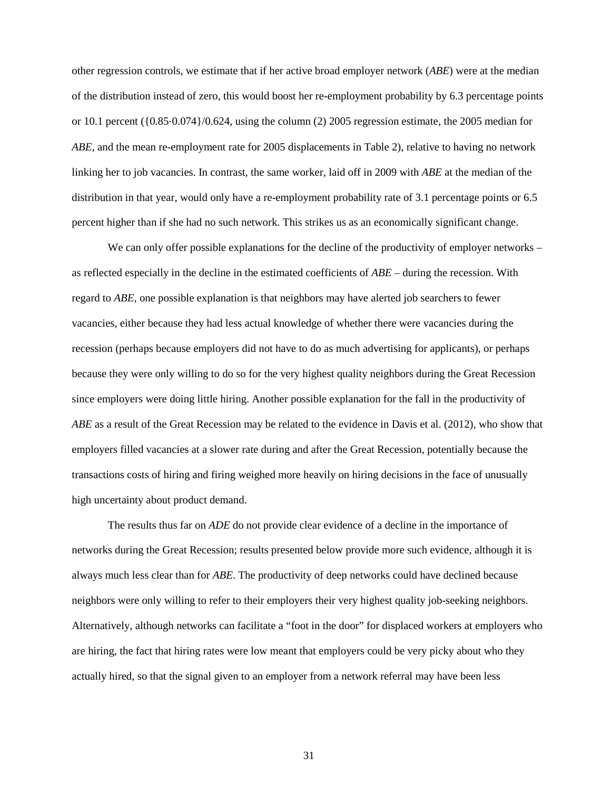other regression controls, we estimate that if her active broad employer network (*ABE*) were at the median of the distribution instead of zero, this would boost her re-employment probability by 6.3 percentage points or 10.1 percent ({0.85⋅0.074}/0.624, using the column (2) 2005 regression estimate, the 2005 median for *ABE*, and the mean re-employment rate for 2005 displacements in Table 2), relative to having no network linking her to job vacancies. In contrast, the same worker, laid off in 2009 with *ABE* at the median of the distribution in that year, would only have a re-employment probability rate of 3.1 percentage points or 6.5 percent higher than if she had no such network. This strikes us as an economically significant change.

We can only offer possible explanations for the decline of the productivity of employer networks – as reflected especially in the decline in the estimated coefficients of *ABE* – during the recession. With regard to *ABE*, one possible explanation is that neighbors may have alerted job searchers to fewer vacancies, either because they had less actual knowledge of whether there were vacancies during the recession (perhaps because employers did not have to do as much advertising for applicants), or perhaps because they were only willing to do so for the very highest quality neighbors during the Great Recession since employers were doing little hiring. Another possible explanation for the fall in the productivity of *ABE* as a result of the Great Recession may be related to the evidence in Davis et al. (2012), who show that employers filled vacancies at a slower rate during and after the Great Recession, potentially because the transactions costs of hiring and firing weighed more heavily on hiring decisions in the face of unusually high uncertainty about product demand.

The results thus far on *ADE* do not provide clear evidence of a decline in the importance of networks during the Great Recession; results presented below provide more such evidence, although it is always much less clear than for *ABE*. The productivity of deep networks could have declined because neighbors were only willing to refer to their employers their very highest quality job-seeking neighbors. Alternatively, although networks can facilitate a "foot in the door" for displaced workers at employers who are hiring, the fact that hiring rates were low meant that employers could be very picky about who they actually hired, so that the signal given to an employer from a network referral may have been less

31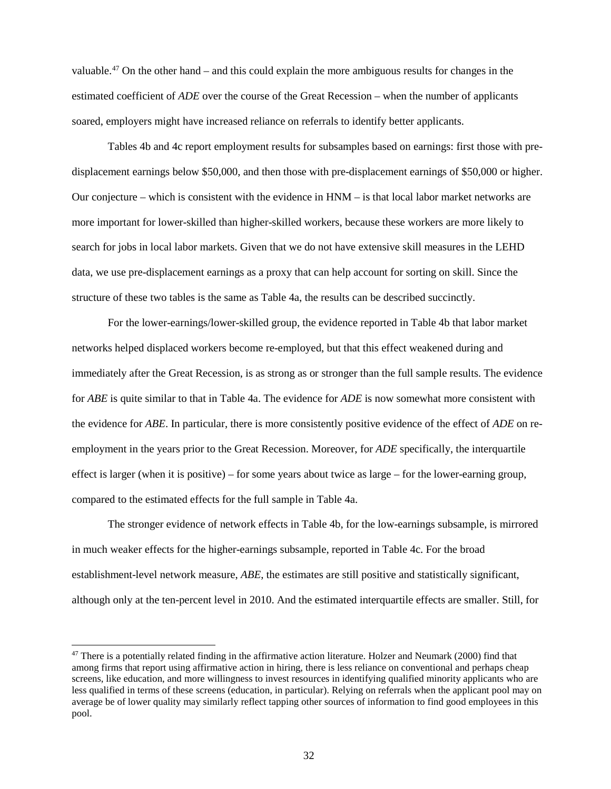valuable.[47](#page-32-0) On the other hand – and this could explain the more ambiguous results for changes in the estimated coefficient of *ADE* over the course of the Great Recession – when the number of applicants soared, employers might have increased reliance on referrals to identify better applicants.

Tables 4b and 4c report employment results for subsamples based on earnings: first those with predisplacement earnings below \$50,000, and then those with pre-displacement earnings of \$50,000 or higher. Our conjecture – which is consistent with the evidence in HNM – is that local labor market networks are more important for lower-skilled than higher-skilled workers, because these workers are more likely to search for jobs in local labor markets. Given that we do not have extensive skill measures in the LEHD data, we use pre-displacement earnings as a proxy that can help account for sorting on skill. Since the structure of these two tables is the same as Table 4a, the results can be described succinctly.

For the lower-earnings/lower-skilled group, the evidence reported in Table 4b that labor market networks helped displaced workers become re-employed, but that this effect weakened during and immediately after the Great Recession, is as strong as or stronger than the full sample results. The evidence for *ABE* is quite similar to that in Table 4a. The evidence for *ADE* is now somewhat more consistent with the evidence for *ABE*. In particular, there is more consistently positive evidence of the effect of *ADE* on reemployment in the years prior to the Great Recession. Moreover, for *ADE* specifically, the interquartile effect is larger (when it is positive) – for some years about twice as large – for the lower-earning group, compared to the estimated effects for the full sample in Table 4a.

The stronger evidence of network effects in Table 4b, for the low-earnings subsample, is mirrored in much weaker effects for the higher-earnings subsample, reported in Table 4c. For the broad establishment-level network measure, *ABE*, the estimates are still positive and statistically significant, although only at the ten-percent level in 2010. And the estimated interquartile effects are smaller. Still, for

<span id="page-32-0"></span> $47$  There is a potentially related finding in the affirmative action literature. Holzer and Neumark (2000) find that among firms that report using affirmative action in hiring, there is less reliance on conventional and perhaps cheap screens, like education, and more willingness to invest resources in identifying qualified minority applicants who are less qualified in terms of these screens (education, in particular). Relying on referrals when the applicant pool may on average be of lower quality may similarly reflect tapping other sources of information to find good employees in this pool.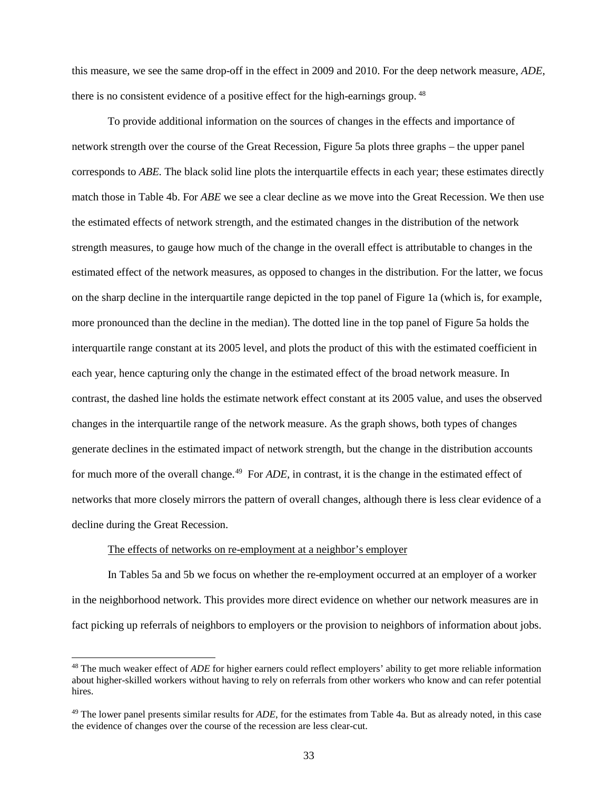this measure, we see the same drop-off in the effect in 2009 and 2010. For the deep network measure, *ADE*, there is no consistent evidence of a positive effect for the high-earnings group. <sup>[48](#page-33-0)</sup>

To provide additional information on the sources of changes in the effects and importance of network strength over the course of the Great Recession, Figure 5a plots three graphs – the upper panel corresponds to *ABE.* The black solid line plots the interquartile effects in each year; these estimates directly match those in Table 4b. For *ABE* we see a clear decline as we move into the Great Recession. We then use the estimated effects of network strength, and the estimated changes in the distribution of the network strength measures, to gauge how much of the change in the overall effect is attributable to changes in the estimated effect of the network measures, as opposed to changes in the distribution. For the latter, we focus on the sharp decline in the interquartile range depicted in the top panel of Figure 1a (which is, for example, more pronounced than the decline in the median). The dotted line in the top panel of Figure 5a holds the interquartile range constant at its 2005 level, and plots the product of this with the estimated coefficient in each year, hence capturing only the change in the estimated effect of the broad network measure. In contrast, the dashed line holds the estimate network effect constant at its 2005 value, and uses the observed changes in the interquartile range of the network measure. As the graph shows, both types of changes generate declines in the estimated impact of network strength, but the change in the distribution accounts for much more of the overall change.<sup>49</sup> For *ADE*, in contrast, it is the change in the estimated effect of networks that more closely mirrors the pattern of overall changes, although there is less clear evidence of a decline during the Great Recession.

#### The effects of networks on re-employment at a neighbor's employer

In Tables 5a and 5b we focus on whether the re-employment occurred at an employer of a worker in the neighborhood network. This provides more direct evidence on whether our network measures are in fact picking up referrals of neighbors to employers or the provision to neighbors of information about jobs.

<span id="page-33-0"></span><sup>&</sup>lt;sup>48</sup> The much weaker effect of *ADE* for higher earners could reflect employers' ability to get more reliable information about higher-skilled workers without having to rely on referrals from other workers who know and can refer potential hires.

<span id="page-33-1"></span><sup>49</sup> The lower panel presents similar results for *ADE*, for the estimates from Table 4a. But as already noted, in this case the evidence of changes over the course of the recession are less clear-cut.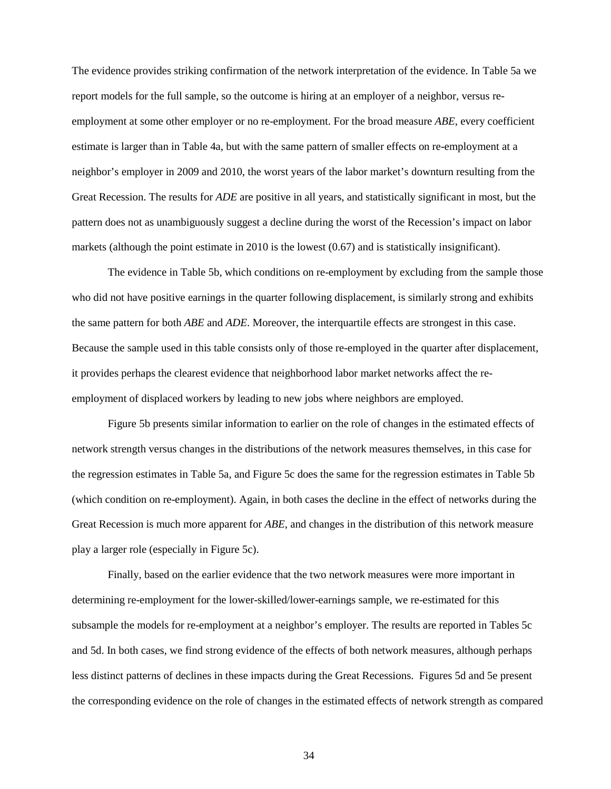The evidence provides striking confirmation of the network interpretation of the evidence. In Table 5a we report models for the full sample, so the outcome is hiring at an employer of a neighbor, versus reemployment at some other employer or no re-employment. For the broad measure *ABE*, every coefficient estimate is larger than in Table 4a, but with the same pattern of smaller effects on re-employment at a neighbor's employer in 2009 and 2010, the worst years of the labor market's downturn resulting from the Great Recession. The results for *ADE* are positive in all years, and statistically significant in most, but the pattern does not as unambiguously suggest a decline during the worst of the Recession's impact on labor markets (although the point estimate in 2010 is the lowest (0.67) and is statistically insignificant).

The evidence in Table 5b, which conditions on re-employment by excluding from the sample those who did not have positive earnings in the quarter following displacement, is similarly strong and exhibits the same pattern for both *ABE* and *ADE*. Moreover, the interquartile effects are strongest in this case. Because the sample used in this table consists only of those re-employed in the quarter after displacement, it provides perhaps the clearest evidence that neighborhood labor market networks affect the reemployment of displaced workers by leading to new jobs where neighbors are employed.

Figure 5b presents similar information to earlier on the role of changes in the estimated effects of network strength versus changes in the distributions of the network measures themselves, in this case for the regression estimates in Table 5a, and Figure 5c does the same for the regression estimates in Table 5b (which condition on re-employment). Again, in both cases the decline in the effect of networks during the Great Recession is much more apparent for *ABE*, and changes in the distribution of this network measure play a larger role (especially in Figure 5c).

Finally, based on the earlier evidence that the two network measures were more important in determining re-employment for the lower-skilled/lower-earnings sample, we re-estimated for this subsample the models for re-employment at a neighbor's employer. The results are reported in Tables 5c and 5d. In both cases, we find strong evidence of the effects of both network measures, although perhaps less distinct patterns of declines in these impacts during the Great Recessions. Figures 5d and 5e present the corresponding evidence on the role of changes in the estimated effects of network strength as compared

34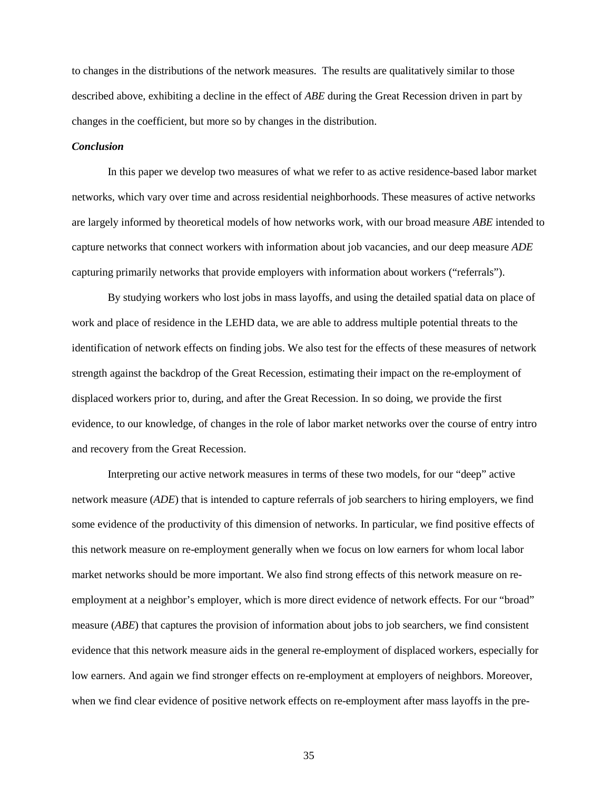to changes in the distributions of the network measures. The results are qualitatively similar to those described above, exhibiting a decline in the effect of *ABE* during the Great Recession driven in part by changes in the coefficient, but more so by changes in the distribution.

#### *Conclusion*

In this paper we develop two measures of what we refer to as active residence-based labor market networks, which vary over time and across residential neighborhoods. These measures of active networks are largely informed by theoretical models of how networks work, with our broad measure *ABE* intended to capture networks that connect workers with information about job vacancies, and our deep measure *ADE*  capturing primarily networks that provide employers with information about workers ("referrals").

By studying workers who lost jobs in mass layoffs, and using the detailed spatial data on place of work and place of residence in the LEHD data, we are able to address multiple potential threats to the identification of network effects on finding jobs. We also test for the effects of these measures of network strength against the backdrop of the Great Recession, estimating their impact on the re-employment of displaced workers prior to, during, and after the Great Recession. In so doing, we provide the first evidence, to our knowledge, of changes in the role of labor market networks over the course of entry intro and recovery from the Great Recession.

Interpreting our active network measures in terms of these two models, for our "deep" active network measure (*ADE*) that is intended to capture referrals of job searchers to hiring employers, we find some evidence of the productivity of this dimension of networks. In particular, we find positive effects of this network measure on re-employment generally when we focus on low earners for whom local labor market networks should be more important. We also find strong effects of this network measure on reemployment at a neighbor's employer, which is more direct evidence of network effects. For our "broad" measure (*ABE*) that captures the provision of information about jobs to job searchers, we find consistent evidence that this network measure aids in the general re-employment of displaced workers, especially for low earners. And again we find stronger effects on re-employment at employers of neighbors. Moreover, when we find clear evidence of positive network effects on re-employment after mass layoffs in the pre-

35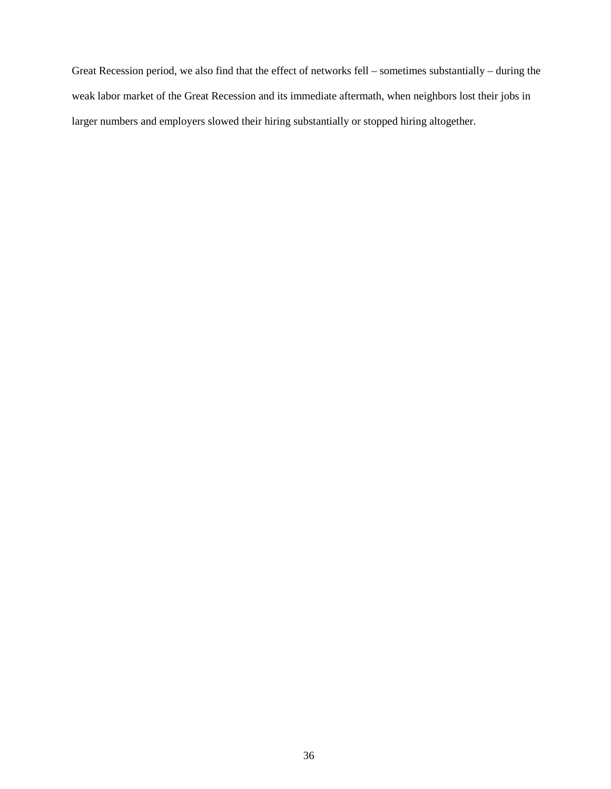Great Recession period, we also find that the effect of networks fell – sometimes substantially – during the weak labor market of the Great Recession and its immediate aftermath, when neighbors lost their jobs in larger numbers and employers slowed their hiring substantially or stopped hiring altogether.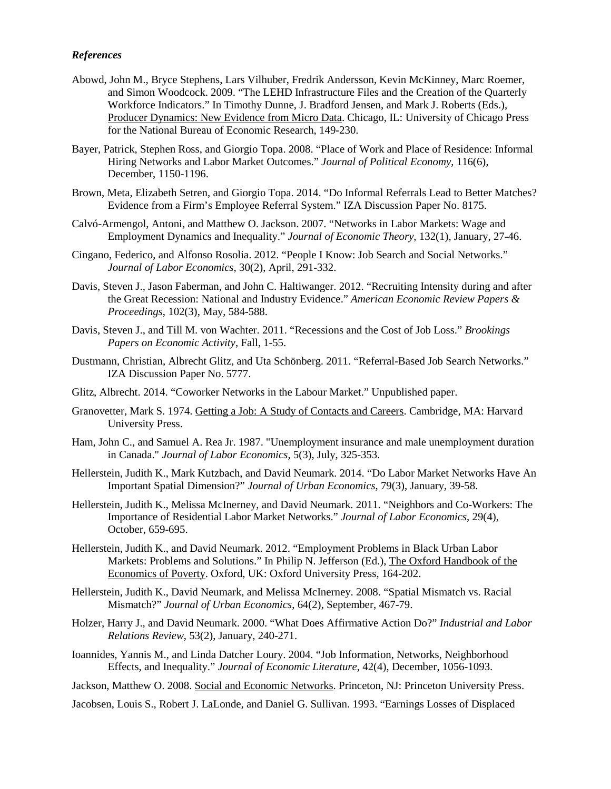#### *References*

- Abowd, John M., Bryce Stephens, Lars Vilhuber, Fredrik Andersson, Kevin McKinney, Marc Roemer, and Simon Woodcock. 2009. "The LEHD Infrastructure Files and the Creation of the Quarterly Workforce Indicators." In Timothy Dunne, J. Bradford Jensen, and Mark J. Roberts (Eds.), Producer Dynamics: New Evidence from Micro Data. Chicago, IL: University of Chicago Press for the National Bureau of Economic Research, 149-230.
- Bayer, Patrick, Stephen Ross, and Giorgio Topa. 2008. "Place of Work and Place of Residence: Informal Hiring Networks and Labor Market Outcomes." *Journal of Political Economy*, 116(6), December, 1150-1196.
- Brown, Meta, Elizabeth Setren, and Giorgio Topa. 2014. "Do Informal Referrals Lead to Better Matches? Evidence from a Firm's Employee Referral System." IZA Discussion Paper No. 8175.
- Calvó-Armengol, Antoni, and Matthew O. Jackson. 2007. "Networks in Labor Markets: Wage and Employment Dynamics and Inequality." *Journal of Economic Theory*, 132(1), January, 27-46.
- Cingano, Federico, and Alfonso Rosolia. 2012. "People I Know: Job Search and Social Networks." *Journal of Labor Economics*, 30(2), April, 291-332.
- Davis, Steven J., Jason Faberman, and John C. Haltiwanger. 2012. "Recruiting Intensity during and after the Great Recession: National and Industry Evidence." *American Economic Review Papers & Proceedings*, 102(3), May, 584-588.
- Davis, Steven J., and Till M. von Wachter. 2011. "Recessions and the Cost of Job Loss." *Brookings Papers on Economic Activity*, Fall, 1-55.
- Dustmann, Christian, Albrecht Glitz, and Uta Schönberg. 2011. "Referral-Based Job Search Networks." IZA Discussion Paper No. 5777.
- Glitz, Albrecht. 2014. "Coworker Networks in the Labour Market." Unpublished paper.
- Granovetter, Mark S. 1974. Getting a Job: A Study of Contacts and Careers. Cambridge, MA: Harvard University Press.
- Ham, John C., and Samuel A. Rea Jr. 1987. "Unemployment insurance and male unemployment duration in Canada." *Journal of Labor Economics*, 5(3), July, 325-353.
- Hellerstein, Judith K., Mark Kutzbach, and David Neumark. 2014. "Do Labor Market Networks Have An Important Spatial Dimension?" *Journal of Urban Economics*, 79(3), January, 39-58.
- Hellerstein, Judith K., Melissa McInerney, and David Neumark. 2011. "Neighbors and Co-Workers: The Importance of Residential Labor Market Networks." *Journal of Labor Economics*, 29(4), October, 659-695.
- Hellerstein, Judith K., and David Neumark. 2012. "Employment Problems in Black Urban Labor Markets: Problems and Solutions." In Philip N. Jefferson (Ed.), The Oxford Handbook of the Economics of Poverty. Oxford, UK: Oxford University Press, 164-202.
- Hellerstein, Judith K., David Neumark, and Melissa McInerney. 2008. "Spatial Mismatch vs. Racial Mismatch?" *Journal of Urban Economics*, 64(2), September, 467-79.
- Holzer, Harry J., and David Neumark. 2000. ["What Does Affirmative Action Do?"](http://www.jstor.org/stable/10.2307/2696075?Search=yes&resultItemClick=true&&searchUri=%2Faction%2FdoAdvancedSearch%3Ff4%3Dall%26amp%3Bq6%3D%26amp%3Bf3%3Dall%26amp%3Bq4%3D%26amp%3Bq5%3D%26amp%3Bq2%3D%26amp%3Bq3%3D%26amp%3Bq0%3Dholzer%26amp%3Bf0%3Dau%26amp%3Bsd%3D%26amp%3Bf1%3Dau%26amp%3Bq1%3Dneumark%26amp%3Bf2%3Dall%26amp%3Bacc%3Don%26amp%3Bed%3D%26amp%3Bwc%3Don%26amp%3Bpt%3D%26amp%3Bisbn%3D%26amp%3Bc1%3DAND%26amp%3Bc2%3DAND%26amp%3Bc3%3DAND%26amp%3Bc4%3DAND%26amp%3Bc5%3DAND%26amp%3Bc6%3DAND%26amp%3Bf6%3Dall%26amp%3Bla%3D%26amp%3Bf5%3Dall) *Industrial and Labor Relations Review*, 53(2), January, 240-271.
- Ioannides, Yannis M., and Linda Datcher Loury. 2004. "Job Information, Networks, Neighborhood Effects, and Inequality." *Journal of Economic Literature*, 42(4), December, 1056-1093.

Jackson, Matthew O. 2008. Social and Economic Networks. Princeton, NJ: Princeton University Press.

Jacobsen, Louis S., Robert J. LaLonde, and Daniel G. Sullivan. 1993. "Earnings Losses of Displaced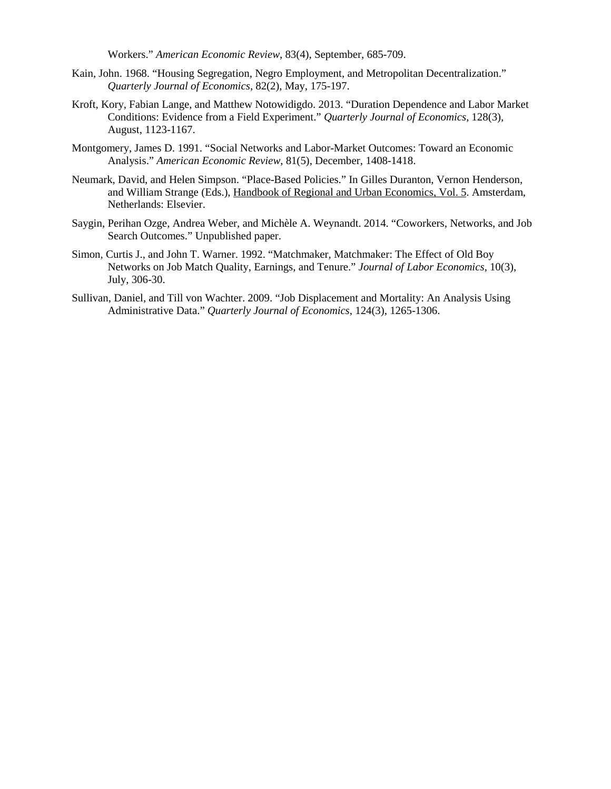Workers." *American Economic Review*, 83(4), September, 685-709.

- Kain, John. 1968. "Housing Segregation, Negro Employment, and Metropolitan Decentralization." *Quarterly Journal of Economics*, 82(2), May, 175-197.
- Kroft, Kory, Fabian Lange, and Matthew Notowidigdo. 2013. ["Duration Dependence and Labor Market](http://faculty.chicagobooth.edu/matthew.notowidigdo/research/Kroft_Lange_Noto_Resume_Study.pdf)  [Conditions: Evidence from a Field Experiment.](http://faculty.chicagobooth.edu/matthew.notowidigdo/research/Kroft_Lange_Noto_Resume_Study.pdf)" *Quarterly Journal of Economics*, 128(3), August, 1123-1167.
- Montgomery, James D. 1991. "Social Networks and Labor-Market Outcomes: Toward an Economic Analysis." *American Economic Review*, 81(5), December, 1408-1418.
- Neumark, David, and Helen Simpson. "Place-Based Policies." In Gilles Duranton, Vernon Henderson, and William Strange (Eds.), Handbook of Regional and Urban Economics, Vol. 5. Amsterdam, Netherlands: Elsevier.
- Saygin, Perihan Ozge, Andrea Weber, and Michèle A. Weynandt. 2014. "Coworkers, Networks, and Job Search Outcomes." Unpublished paper.
- Simon, Curtis J., and John T. Warner. 1992. "Matchmaker, Matchmaker: The Effect of Old Boy Networks on Job Match Quality, Earnings, and Tenure." *Journal of Labor Economics*, 10(3), July, 306-30.
- Sullivan, Daniel, and Till von Wachter. 2009. "Job Displacement and Mortality: An Analysis Using Administrative Data." *Quarterly Journal of Economics*, 124(3), 1265-1306.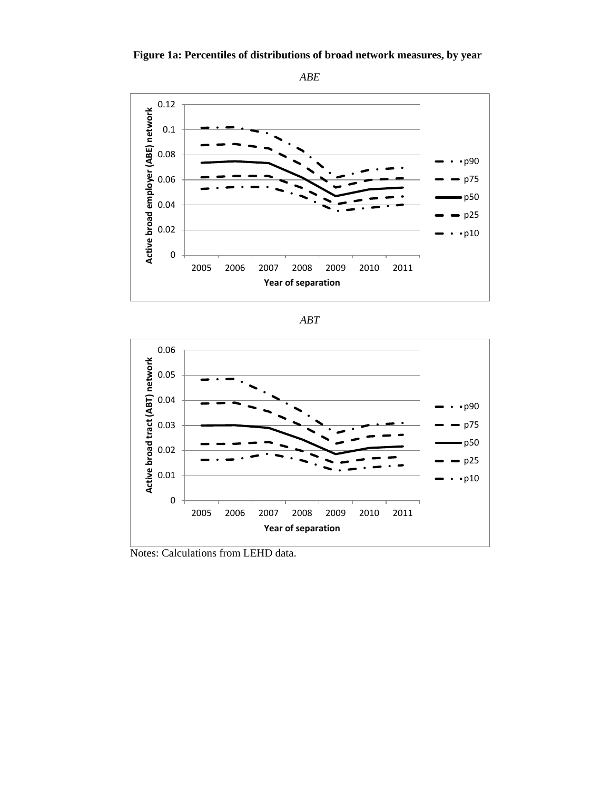







Notes: Calculations from LEHD data.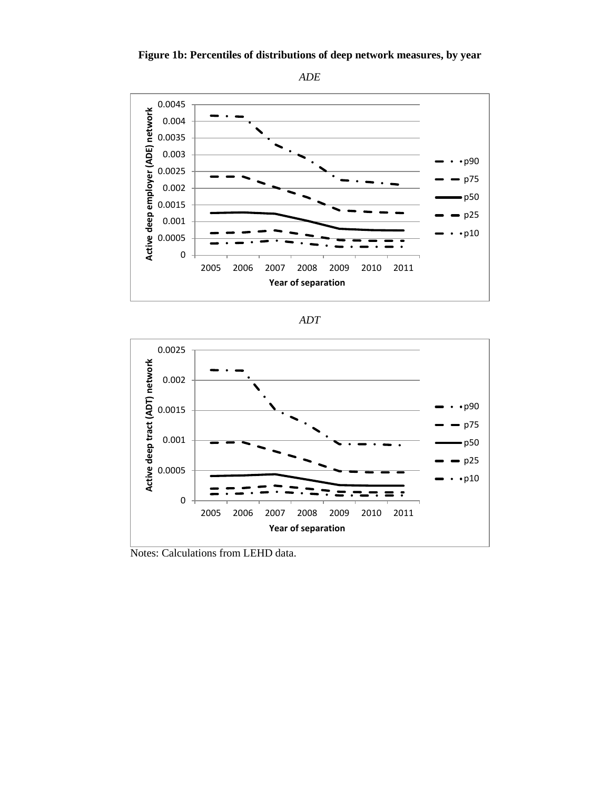





| ۰. |  |
|----|--|
|    |  |



Notes: Calculations from LEHD data.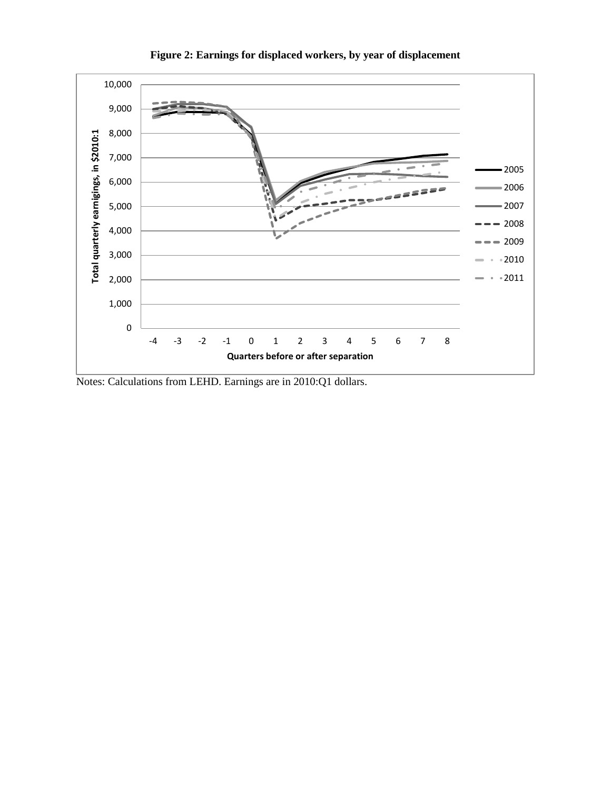

**Figure 2: Earnings for displaced workers, by year of displacement**

Notes: Calculations from LEHD. Earnings are in 2010:Q1 dollars.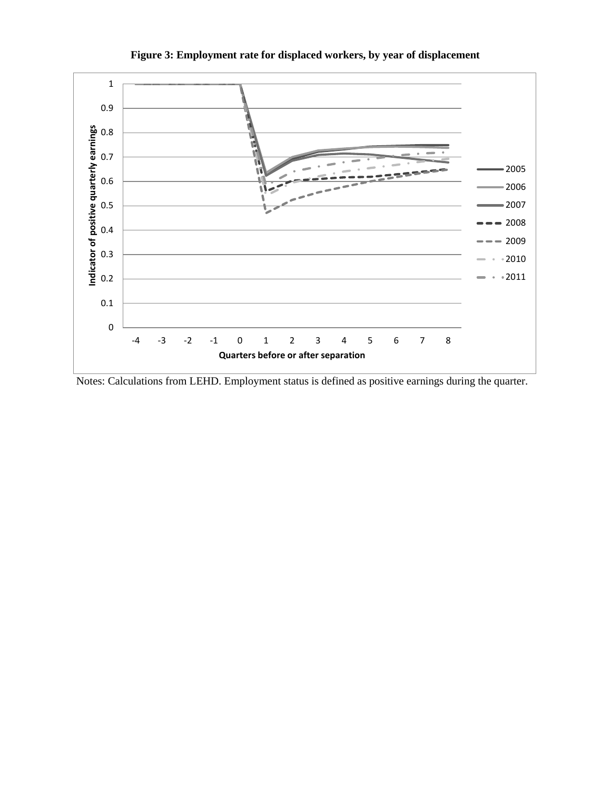

**Figure 3: Employment rate for displaced workers, by year of displacement**

Notes: Calculations from LEHD. Employment status is defined as positive earnings during the quarter.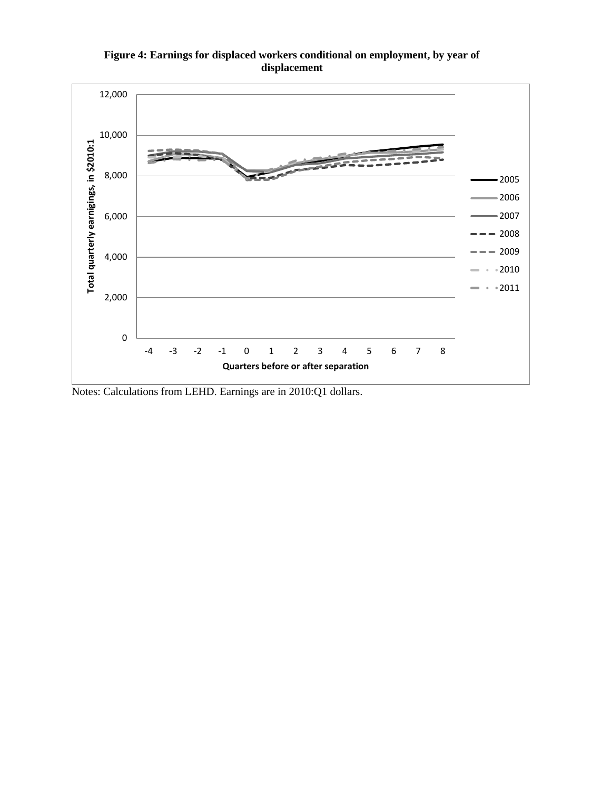



Notes: Calculations from LEHD. Earnings are in 2010:Q1 dollars.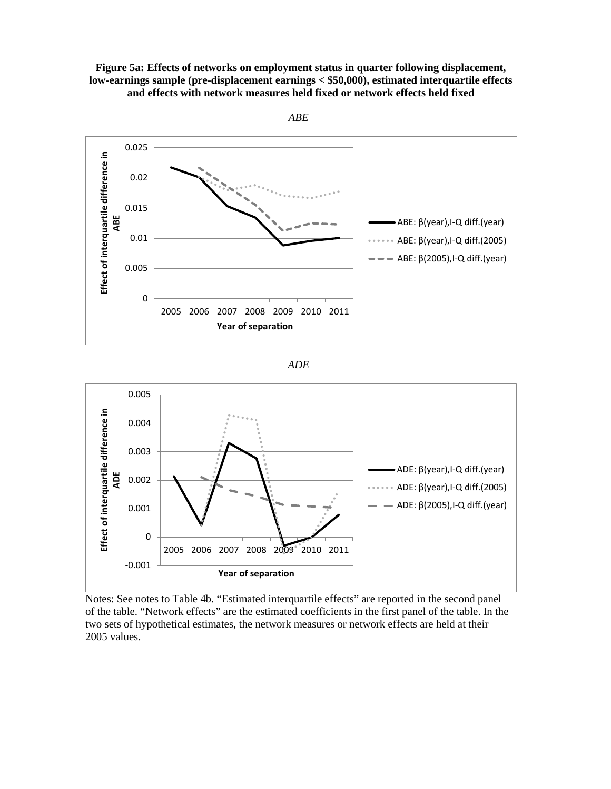## **Figure 5a: Effects of networks on employment status in quarter following displacement, low-earnings sample (pre-displacement earnings < \$50,000), estimated interquartile effects and effects with network measures held fixed or network effects held fixed**





Notes: See notes to Table 4b. "Estimated interquartile effects" are reported in the second panel of the table. "Network effects" are the estimated coefficients in the first panel of the table. In the two sets of hypothetical estimates, the network measures or network effects are held at their 2005 values.

*ABE*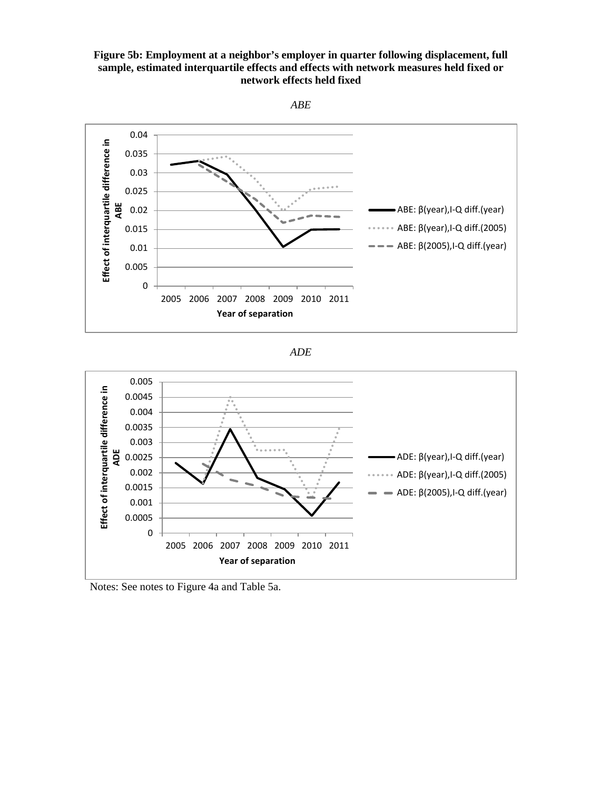## **Figure 5b: Employment at a neighbor's employer in quarter following displacement, full sample, estimated interquartile effects and effects with network measures held fixed or network effects held fixed**



*ADE*



Notes: See notes to Figure 4a and Table 5a.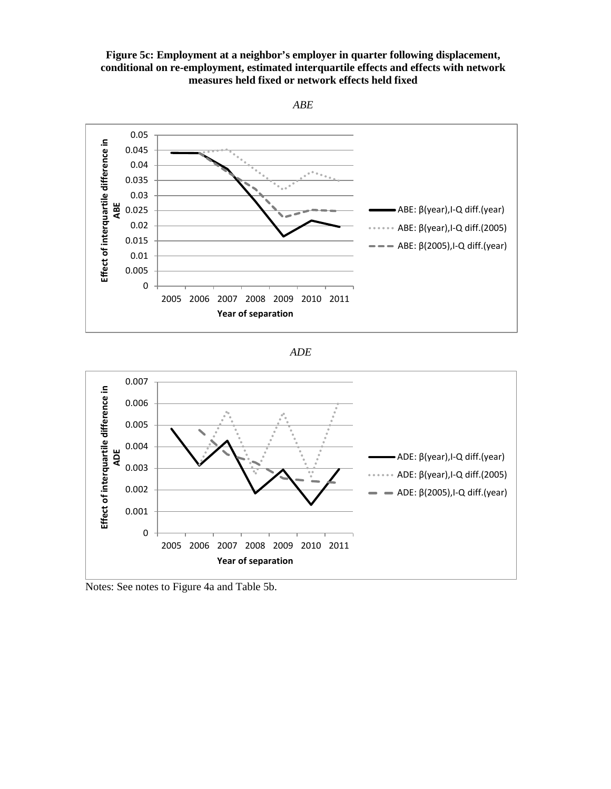







Notes: See notes to Figure 4a and Table 5b.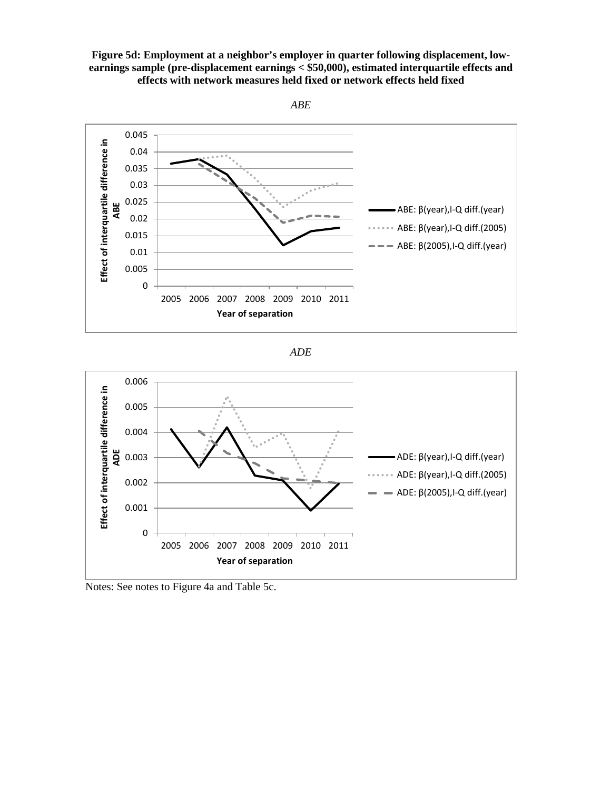







Notes: See notes to Figure 4a and Table 5c.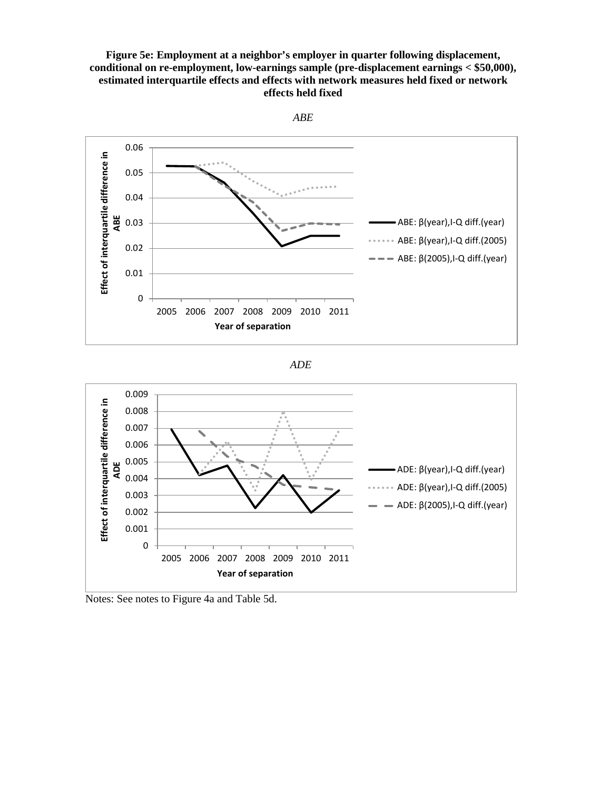## **Figure 5e: Employment at a neighbor's employer in quarter following displacement, conditional on re-employment, low-earnings sample (pre-displacement earnings < \$50,000), estimated interquartile effects and effects with network measures held fixed or network effects held fixed**







Notes: See notes to Figure 4a and Table 5d.

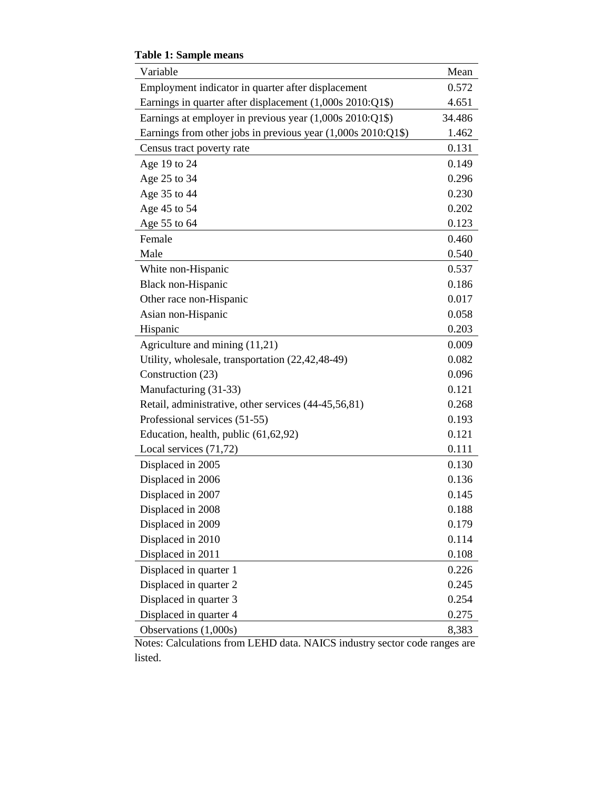| Variable                                                      | Mean   |
|---------------------------------------------------------------|--------|
| Employment indicator in quarter after displacement            | 0.572  |
| Earnings in quarter after displacement (1,000s 2010:Q1\$)     | 4.651  |
| Earnings at employer in previous year (1,000s 2010:Q1\$)      | 34.486 |
| Earnings from other jobs in previous year $(1,000s\ 2010:Q1\$ | 1.462  |
| Census tract poverty rate                                     | 0.131  |
| Age 19 to 24                                                  | 0.149  |
| Age 25 to 34                                                  | 0.296  |
| Age 35 to 44                                                  | 0.230  |
| Age 45 to 54                                                  | 0.202  |
| Age 55 to 64                                                  | 0.123  |
| Female                                                        | 0.460  |
| Male                                                          | 0.540  |
| White non-Hispanic                                            | 0.537  |
| Black non-Hispanic                                            | 0.186  |
| Other race non-Hispanic                                       | 0.017  |
| Asian non-Hispanic                                            | 0.058  |
| Hispanic                                                      | 0.203  |
| Agriculture and mining (11,21)                                | 0.009  |
| Utility, wholesale, transportation (22,42,48-49)              | 0.082  |
| Construction (23)                                             | 0.096  |
| Manufacturing (31-33)                                         | 0.121  |
| Retail, administrative, other services (44-45,56,81)          | 0.268  |
| Professional services (51-55)                                 | 0.193  |
| Education, health, public (61,62,92)                          | 0.121  |
| Local services (71,72)                                        | 0.111  |
| Displaced in 2005                                             | 0.130  |
| Displaced in 2006                                             | 0.136  |
| Displaced in 2007                                             | 0.145  |
| Displaced in 2008                                             | 0.188  |
| Displaced in 2009                                             | 0.179  |
| Displaced in 2010                                             | 0.114  |
| Displaced in 2011                                             | 0.108  |
| Displaced in quarter 1                                        | 0.226  |
| Displaced in quarter 2                                        | 0.245  |
| Displaced in quarter 3                                        | 0.254  |
| Displaced in quarter 4                                        | 0.275  |
| Observations (1,000s)                                         | 8,383  |

**Table 1: Sample means**

Notes: Calculations from LEHD data. NAICS industry sector code ranges are listed.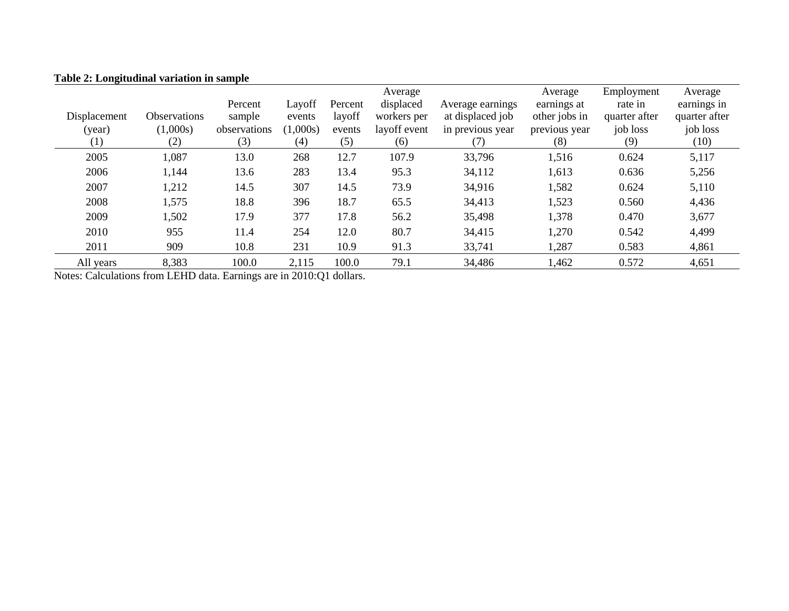|                  |              |              |          |         | Average      |                  | Average       | Employment    | Average       |
|------------------|--------------|--------------|----------|---------|--------------|------------------|---------------|---------------|---------------|
|                  |              | Percent      | Layoff   | Percent | displaced    | Average earnings | earnings at   | rate in       | earnings in   |
| Displacement     | Observations | sample       | events   | layoff  | workers per  | at displaced job | other jobs in | quarter after | quarter after |
| (year)           | (1,000s)     | observations | (1,000s) | events  | layoff event | in previous year | previous year | job loss      | job loss      |
| $\left(1\right)$ | (2)          | (3)          | (4)      | (5)     | (6)          | (7)              | (8)           | (9)           | (10)          |
| 2005             | 1,087        | 13.0         | 268      | 12.7    | 107.9        | 33,796           | 1,516         | 0.624         | 5,117         |
| 2006             | 1,144        | 13.6         | 283      | 13.4    | 95.3         | 34,112           | 1,613         | 0.636         | 5,256         |
| 2007             | 1,212        | 14.5         | 307      | 14.5    | 73.9         | 34,916           | 1,582         | 0.624         | 5,110         |
| 2008             | 1,575        | 18.8         | 396      | 18.7    | 65.5         | 34,413           | 1,523         | 0.560         | 4,436         |
| 2009             | 1,502        | 17.9         | 377      | 17.8    | 56.2         | 35,498           | 1,378         | 0.470         | 3,677         |
| 2010             | 955          | 11.4         | 254      | 12.0    | 80.7         | 34,415           | 1,270         | 0.542         | 4,499         |
| 2011             | 909          | 10.8         | 231      | 10.9    | 91.3         | 33,741           | 1,287         | 0.583         | 4,861         |
| All years        | 8,383        | 100.0        | 2,115    | 100.0   | 79.1         | 34,486           | 1,462         | 0.572         | 4,651         |

## **Table 2: Longitudinal variation in sample**

Notes: Calculations from LEHD data. Earnings are in 2010:Q1 dollars.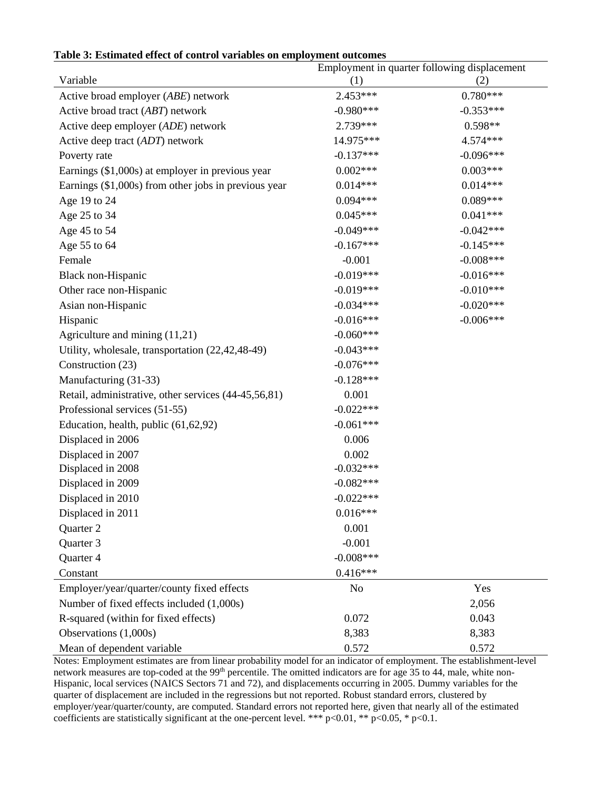|                                                      | Employment in quarter following displacement |             |  |  |  |
|------------------------------------------------------|----------------------------------------------|-------------|--|--|--|
| Variable                                             | (1)                                          | (2)         |  |  |  |
| Active broad employer (ABE) network                  | 2.453***                                     | $0.780***$  |  |  |  |
| Active broad tract (ABT) network                     | $-0.980***$                                  | $-0.353***$ |  |  |  |
| Active deep employer (ADE) network                   | 2.739***                                     | $0.598**$   |  |  |  |
| Active deep tract (ADT) network                      | 14.975***                                    | 4.574***    |  |  |  |
| Poverty rate                                         | $-0.137***$                                  | $-0.096***$ |  |  |  |
| Earnings (\$1,000s) at employer in previous year     | $0.002***$                                   | $0.003***$  |  |  |  |
| Earnings (\$1,000s) from other jobs in previous year | $0.014***$                                   | $0.014***$  |  |  |  |
| Age 19 to 24                                         | $0.094***$                                   | $0.089***$  |  |  |  |
| Age 25 to 34                                         | $0.045***$                                   | $0.041***$  |  |  |  |
| Age 45 to 54                                         | $-0.049***$                                  | $-0.042***$ |  |  |  |
| Age 55 to 64                                         | $-0.167***$                                  | $-0.145***$ |  |  |  |
| Female                                               | $-0.001$                                     | $-0.008***$ |  |  |  |
| Black non-Hispanic                                   | $-0.019***$                                  | $-0.016***$ |  |  |  |
| Other race non-Hispanic                              | $-0.019***$                                  | $-0.010***$ |  |  |  |
| Asian non-Hispanic                                   | $-0.034***$                                  | $-0.020***$ |  |  |  |
| Hispanic                                             | $-0.016***$                                  | $-0.006***$ |  |  |  |
| Agriculture and mining (11,21)                       | $-0.060***$                                  |             |  |  |  |
| Utility, wholesale, transportation (22,42,48-49)     | $-0.043***$                                  |             |  |  |  |
| Construction (23)                                    | $-0.076***$                                  |             |  |  |  |
| Manufacturing (31-33)                                | $-0.128***$                                  |             |  |  |  |
| Retail, administrative, other services (44-45,56,81) | 0.001                                        |             |  |  |  |
| Professional services (51-55)                        | $-0.022***$                                  |             |  |  |  |
| Education, health, public (61,62,92)                 | $-0.061***$                                  |             |  |  |  |
| Displaced in 2006                                    | 0.006                                        |             |  |  |  |
| Displaced in 2007                                    | 0.002                                        |             |  |  |  |
| Displaced in 2008                                    | $-0.032***$                                  |             |  |  |  |
| Displaced in 2009                                    | $-0.082***$                                  |             |  |  |  |
| Displaced in 2010                                    | $-0.022***$                                  |             |  |  |  |
| Displaced in 2011                                    | $0.016***$                                   |             |  |  |  |
| Quarter 2                                            | 0.001                                        |             |  |  |  |
| Quarter 3                                            | $-0.001$                                     |             |  |  |  |
| Quarter 4                                            | $-0.008***$                                  |             |  |  |  |
| Constant                                             | $0.416***$                                   |             |  |  |  |
| Employer/year/quarter/county fixed effects           | N <sub>0</sub>                               | Yes         |  |  |  |
| Number of fixed effects included (1,000s)            |                                              | 2,056       |  |  |  |
| R-squared (within for fixed effects)                 | 0.072                                        | 0.043       |  |  |  |
| Observations (1,000s)                                | 8,383                                        | 8,383       |  |  |  |
| Mean of dependent variable                           | 0.572                                        | 0.572       |  |  |  |

Notes: Employment estimates are from linear probability model for an indicator of employment. The establishment-level network measures are top-coded at the 99<sup>th</sup> percentile. The omitted indicators are for age 35 to 44, male, white non-Hispanic, local services (NAICS Sectors 71 and 72), and displacements occurring in 2005. Dummy variables for the quarter of displacement are included in the regressions but not reported. Robust standard errors, clustered by employer/year/quarter/county, are computed. Standard errors not reported here, given that nearly all of the estimated coefficients are statistically significant at the one-percent level. \*\*\* p<0.01, \*\* p<0.05, \* p<0.1.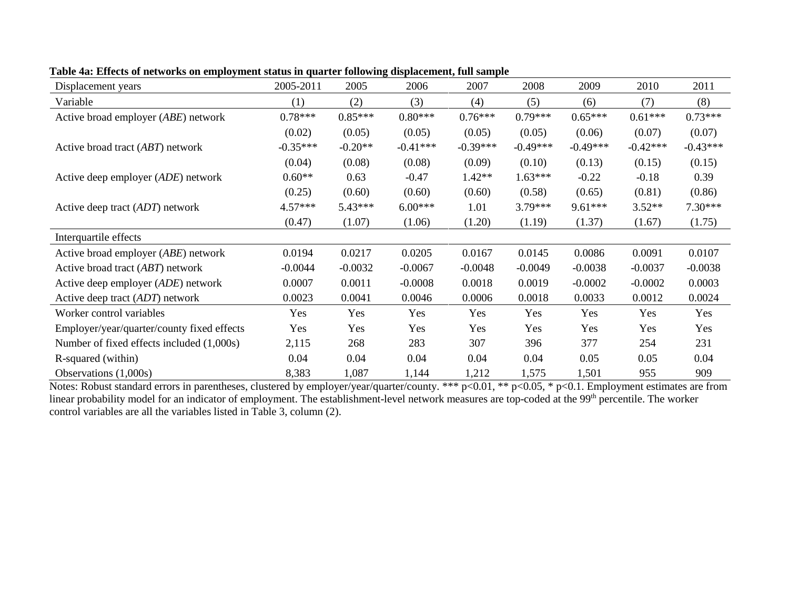| Displacement years                           | 2005-2011  | 2005      | 2006       | 2007       | 2008       | 2009       | 2010       | 2011       |
|----------------------------------------------|------------|-----------|------------|------------|------------|------------|------------|------------|
| Variable                                     | (1)        | (2)       | (3)        | (4)        | (5)        | (6)        | (7)        | (8)        |
| Active broad employer (ABE) network          | $0.78***$  | $0.85***$ | $0.80***$  | $0.76***$  | $0.79***$  | $0.65***$  | $0.61***$  | $0.73***$  |
|                                              | (0.02)     | (0.05)    | (0.05)     | (0.05)     | (0.05)     | (0.06)     | (0.07)     | (0.07)     |
| Active broad tract (ABT) network             | $-0.35***$ | $-0.20**$ | $-0.41***$ | $-0.39***$ | $-0.49***$ | $-0.49***$ | $-0.42***$ | $-0.43***$ |
|                                              | (0.04)     | (0.08)    | (0.08)     | (0.09)     | (0.10)     | (0.13)     | (0.15)     | (0.15)     |
| Active deep employer (ADE) network           | $0.60**$   | 0.63      | $-0.47$    | $1.42**$   | $1.63***$  | $-0.22$    | $-0.18$    | 0.39       |
|                                              | (0.25)     | (0.60)    | (0.60)     | (0.60)     | (0.58)     | (0.65)     | (0.81)     | (0.86)     |
| Active deep tract (ADT) network              | $4.57***$  | $5.43***$ | $6.00***$  | 1.01       | $3.79***$  | $9.61***$  | $3.52**$   | $7.30***$  |
|                                              | (0.47)     | (1.07)    | (1.06)     | (1.20)     | (1.19)     | (1.37)     | (1.67)     | (1.75)     |
| Interquartile effects                        |            |           |            |            |            |            |            |            |
| Active broad employer ( <i>ABE</i> ) network | 0.0194     | 0.0217    | 0.0205     | 0.0167     | 0.0145     | 0.0086     | 0.0091     | 0.0107     |
| Active broad tract ( <i>ABT</i> ) network    | $-0.0044$  | $-0.0032$ | $-0.0067$  | $-0.0048$  | $-0.0049$  | $-0.0038$  | $-0.0037$  | $-0.0038$  |
| Active deep employer ( <i>ADE</i> ) network  | 0.0007     | 0.0011    | $-0.0008$  | 0.0018     | 0.0019     | $-0.0002$  | $-0.0002$  | 0.0003     |
| Active deep tract (ADT) network              | 0.0023     | 0.0041    | 0.0046     | 0.0006     | 0.0018     | 0.0033     | 0.0012     | 0.0024     |
| Worker control variables                     | Yes        | Yes       | Yes        | Yes        | Yes        | Yes        | Yes        | Yes        |
| Employer/year/quarter/county fixed effects   | Yes        | Yes       | Yes        | Yes        | Yes        | Yes        | Yes        | Yes        |
| Number of fixed effects included (1,000s)    | 2,115      | 268       | 283        | 307        | 396        | 377        | 254        | 231        |
| R-squared (within)                           | 0.04       | 0.04      | 0.04       | 0.04       | 0.04       | 0.05       | 0.05       | 0.04       |
| Observations $(1,000s)$                      | 8,383      | 1,087     | 1,144      | 1,212      | 1,575      | 1,501      | 955        | 909        |

**Table 4a: Effects of networks on employment status in quarter following displacement, full sample**

Notes: Robust standard errors in parentheses, clustered by employer/year/quarter/county. \*\*\* p<0.01, \*\* p<0.05, \* p<0.1. Employment estimates are from linear probability model for an indicator of employment. The establishment-level network measures are top-coded at the 99<sup>th</sup> percentile. The worker control variables are all the variables listed in Table 3, column (2).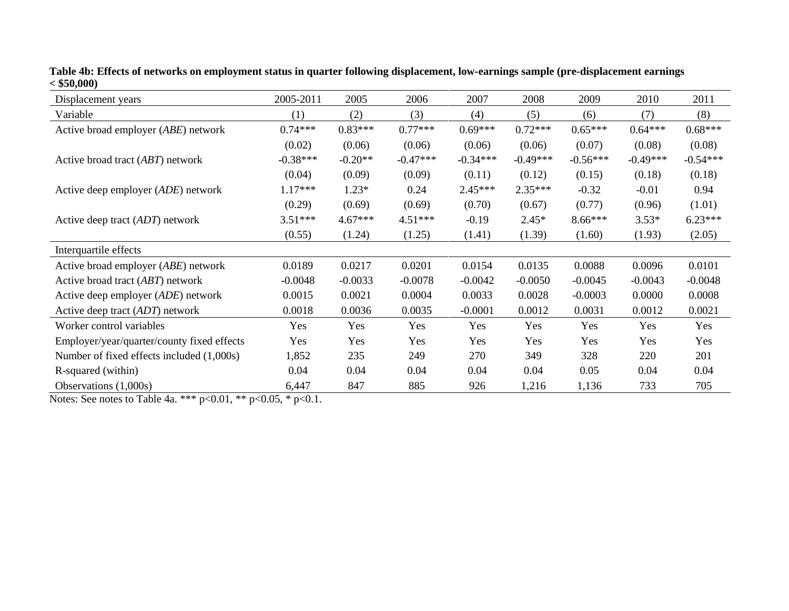| Displacement years                           | 2005-2011  | 2005      | 2006       | 2007       | 2008       | 2009       | 2010       | 2011       |
|----------------------------------------------|------------|-----------|------------|------------|------------|------------|------------|------------|
| Variable                                     | (1)        | (2)       | (3)        | (4)        | (5)        | (6)        | (7)        | (8)        |
| Active broad employer (ABE) network          | $0.74***$  | $0.83***$ | $0.77***$  | $0.69***$  | $0.72***$  | $0.65***$  | $0.64***$  | $0.68***$  |
|                                              | (0.02)     | (0.06)    | (0.06)     | (0.06)     | (0.06)     | (0.07)     | (0.08)     | (0.08)     |
| Active broad tract (ABT) network             | $-0.38***$ | $-0.20**$ | $-0.47***$ | $-0.34***$ | $-0.49***$ | $-0.56***$ | $-0.49***$ | $-0.54***$ |
|                                              | (0.04)     | (0.09)    | (0.09)     | (0.11)     | (0.12)     | (0.15)     | (0.18)     | (0.18)     |
| Active deep employer (ADE) network           | $1.17***$  | $1.23*$   | 0.24       | $2.45***$  | $2.35***$  | $-0.32$    | $-0.01$    | 0.94       |
|                                              | (0.29)     | (0.69)    | (0.69)     | (0.70)     | (0.67)     | (0.77)     | (0.96)     | (1.01)     |
| Active deep tract (ADT) network              | $3.51***$  | $4.67***$ | $4.51***$  | $-0.19$    | $2.45*$    | $8.66***$  | $3.53*$    | $6.23***$  |
|                                              | (0.55)     | (1.24)    | (1.25)     | (1.41)     | (1.39)     | (1.60)     | (1.93)     | (2.05)     |
| Interquartile effects                        |            |           |            |            |            |            |            |            |
| Active broad employer ( <i>ABE</i> ) network | 0.0189     | 0.0217    | 0.0201     | 0.0154     | 0.0135     | 0.0088     | 0.0096     | 0.0101     |
| Active broad tract (ABT) network             | $-0.0048$  | $-0.0033$ | $-0.0078$  | $-0.0042$  | $-0.0050$  | $-0.0045$  | $-0.0043$  | $-0.0048$  |
| Active deep employer (ADE) network           | 0.0015     | 0.0021    | 0.0004     | 0.0033     | 0.0028     | $-0.0003$  | 0.0000     | 0.0008     |
| Active deep tract (ADT) network              | 0.0018     | 0.0036    | 0.0035     | $-0.0001$  | 0.0012     | 0.0031     | 0.0012     | 0.0021     |
| Worker control variables                     | Yes        | Yes       | Yes        | Yes        | Yes        | Yes        | Yes        | Yes        |
| Employer/year/quarter/county fixed effects   | Yes        | Yes       | Yes        | Yes        | Yes        | Yes        | Yes        | Yes        |
| Number of fixed effects included (1,000s)    | 1,852      | 235       | 249        | 270        | 349        | 328        | 220        | 201        |
| R-squared (within)                           | 0.04       | 0.04      | 0.04       | 0.04       | 0.04       | 0.05       | 0.04       | 0.04       |
| Observations $(1,000s)$                      | 6,447      | 847       | 885        | 926        | 1,216      | 1,136      | 733        | 705        |

**Table 4b: Effects of networks on employment status in quarter following displacement, low-earnings sample (pre-displacement earnings < \$50,000)**

Notes: See notes to Table 4a. \*\*\*  $p<0.01$ , \*\*  $p<0.05$ , \*  $p<0.1$ .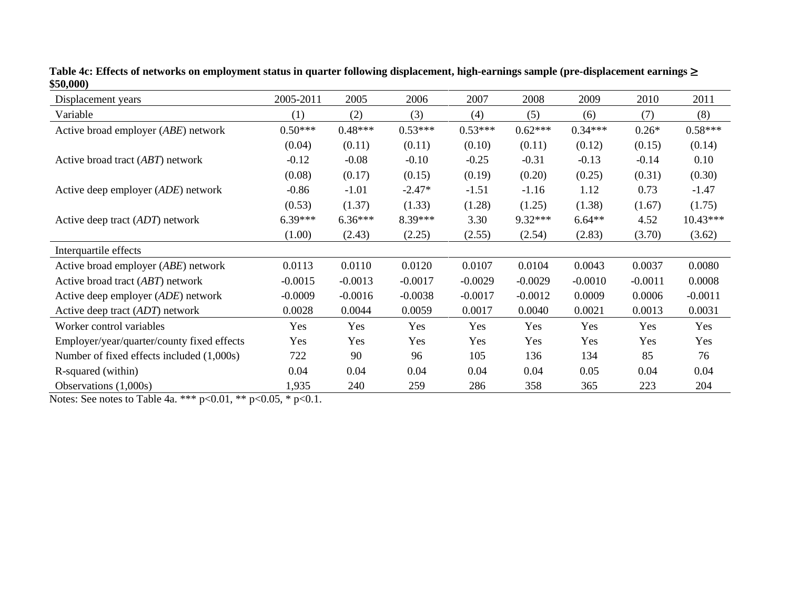| Displacement years                           | 2005-2011 | 2005      | 2006      | 2007      | 2008      | 2009      | 2010      | 2011      |
|----------------------------------------------|-----------|-----------|-----------|-----------|-----------|-----------|-----------|-----------|
| Variable                                     | (1)       | (2)       | (3)       | (4)       | (5)       | (6)       | (7)       | (8)       |
| Active broad employer (ABE) network          | $0.50***$ | $0.48***$ | $0.53***$ | $0.53***$ | $0.62***$ | $0.34***$ | $0.26*$   | $0.58***$ |
|                                              | (0.04)    | (0.11)    | (0.11)    | (0.10)    | (0.11)    | (0.12)    | (0.15)    | (0.14)    |
| Active broad tract (ABT) network             | $-0.12$   | $-0.08$   | $-0.10$   | $-0.25$   | $-0.31$   | $-0.13$   | $-0.14$   | 0.10      |
|                                              | (0.08)    | (0.17)    | (0.15)    | (0.19)    | (0.20)    | (0.25)    | (0.31)    | (0.30)    |
| Active deep employer (ADE) network           | $-0.86$   | $-1.01$   | $-2.47*$  | $-1.51$   | $-1.16$   | 1.12      | 0.73      | $-1.47$   |
|                                              | (0.53)    | (1.37)    | (1.33)    | (1.28)    | (1.25)    | (1.38)    | (1.67)    | (1.75)    |
| Active deep tract (ADT) network              | $6.39***$ | $6.36***$ | 8.39***   | 3.30      | 9.32***   | $6.64**$  | 4.52      | 10.43***  |
|                                              | (1.00)    | (2.43)    | (2.25)    | (2.55)    | (2.54)    | (2.83)    | (3.70)    | (3.62)    |
| Interquartile effects                        |           |           |           |           |           |           |           |           |
| Active broad employer ( <i>ABE</i> ) network | 0.0113    | 0.0110    | 0.0120    | 0.0107    | 0.0104    | 0.0043    | 0.0037    | 0.0080    |
| Active broad tract (ABT) network             | $-0.0015$ | $-0.0013$ | $-0.0017$ | $-0.0029$ | $-0.0029$ | $-0.0010$ | $-0.0011$ | 0.0008    |
| Active deep employer ( <i>ADE</i> ) network  | $-0.0009$ | $-0.0016$ | $-0.0038$ | $-0.0017$ | $-0.0012$ | 0.0009    | 0.0006    | $-0.0011$ |
| Active deep tract (ADT) network              | 0.0028    | 0.0044    | 0.0059    | 0.0017    | 0.0040    | 0.0021    | 0.0013    | 0.0031    |
| Worker control variables                     | Yes       | Yes       | Yes       | Yes       | Yes       | Yes       | Yes       | Yes       |
| Employer/year/quarter/county fixed effects   | Yes       | Yes       | Yes       | Yes       | Yes       | Yes       | Yes       | Yes       |
| Number of fixed effects included (1,000s)    | 722       | 90        | 96        | 105       | 136       | 134       | 85        | 76        |
| R-squared (within)                           | 0.04      | 0.04      | 0.04      | 0.04      | 0.04      | 0.05      | 0.04      | 0.04      |
| Observations $(1,000s)$                      | 1,935     | 240       | 259       | 286       | 358       | 365       | 223       | 204       |

**Table 4c: Effects of networks on employment status in quarter following displacement, high-earnings sample (pre-displacement earnings** ≥ **\$50,000)** 

Notes: See notes to Table 4a. \*\*\*  $p<0.01$ , \*\*  $p<0.05$ , \*  $p<0.1$ .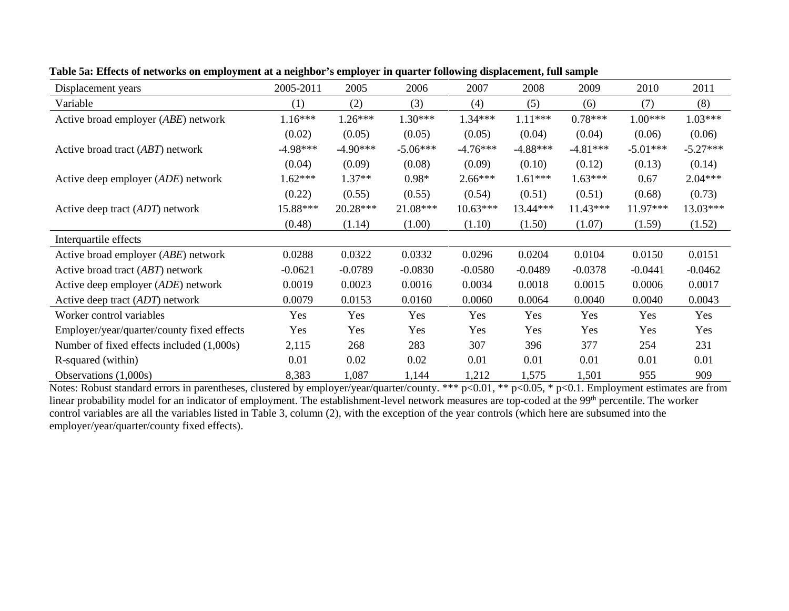| Displacement years                         | 2005-2011  | 2005       | 2006       | 2007       | 2008       | 2009       | 2010       | 2011       |
|--------------------------------------------|------------|------------|------------|------------|------------|------------|------------|------------|
| Variable                                   | (1)        | (2)        | (3)        | (4)        | (5)        | (6)        | (7)        | (8)        |
| Active broad employer (ABE) network        | $1.16***$  | $1.26***$  | $1.30***$  | $1.34***$  | $1.11***$  | $0.78***$  | $1.00***$  | $1.03***$  |
|                                            | (0.02)     | (0.05)     | (0.05)     | (0.05)     | (0.04)     | (0.04)     | (0.06)     | (0.06)     |
| Active broad tract (ABT) network           | $-4.98***$ | $-4.90***$ | $-5.06***$ | $-4.76***$ | $-4.88***$ | $-4.81***$ | $-5.01***$ | $-5.27***$ |
|                                            | (0.04)     | (0.09)     | (0.08)     | (0.09)     | (0.10)     | (0.12)     | (0.13)     | (0.14)     |
| Active deep employer (ADE) network         | 1.62***    | $1.37**$   | $0.98*$    | $2.66***$  | $1.61***$  | $1.63***$  | 0.67       | $2.04***$  |
|                                            | (0.22)     | (0.55)     | (0.55)     | (0.54)     | (0.51)     | (0.51)     | (0.68)     | (0.73)     |
| Active deep tract (ADT) network            | 15.88***   | $20.28***$ | 21.08***   | $10.63***$ | 13.44***   | $11.43***$ | 11.97***   | 13.03***   |
|                                            | (0.48)     | (1.14)     | (1.00)     | (1.10)     | (1.50)     | (1.07)     | (1.59)     | (1.52)     |
| Interquartile effects                      |            |            |            |            |            |            |            |            |
| Active broad employer (ABE) network        | 0.0288     | 0.0322     | 0.0332     | 0.0296     | 0.0204     | 0.0104     | 0.0150     | 0.0151     |
| Active broad tract (ABT) network           | $-0.0621$  | $-0.0789$  | $-0.0830$  | $-0.0580$  | $-0.0489$  | $-0.0378$  | $-0.0441$  | $-0.0462$  |
| Active deep employer (ADE) network         | 0.0019     | 0.0023     | 0.0016     | 0.0034     | 0.0018     | 0.0015     | 0.0006     | 0.0017     |
| Active deep tract (ADT) network            | 0.0079     | 0.0153     | 0.0160     | 0.0060     | 0.0064     | 0.0040     | 0.0040     | 0.0043     |
| Worker control variables                   | Yes        | Yes        | Yes        | Yes        | Yes        | Yes        | Yes        | Yes        |
| Employer/year/quarter/county fixed effects | Yes        | Yes        | Yes        | Yes        | Yes        | Yes        | Yes        | Yes        |
| Number of fixed effects included (1,000s)  | 2,115      | 268        | 283        | 307        | 396        | 377        | 254        | 231        |
| R-squared (within)                         | 0.01       | 0.02       | 0.02       | 0.01       | 0.01       | 0.01       | 0.01       | 0.01       |
| Observations $(1,000s)$                    | 8,383      | 1,087      | 1,144      | 1,212      | 1,575      | 1,501      | 955        | 909        |

**Table 5a: Effects of networks on employment at a neighbor's employer in quarter following displacement, full sample**

Notes: Robust standard errors in parentheses, clustered by employer/year/quarter/county. \*\*\* p<0.01, \*\* p<0.05, \* p<0.1. Employment estimates are from linear probability model for an indicator of employment. The establishment-level network measures are top-coded at the 99<sup>th</sup> percentile. The worker control variables are all the variables listed in Table 3, column (2), with the exception of the year controls (which here are subsumed into the employer/year/quarter/county fixed effects).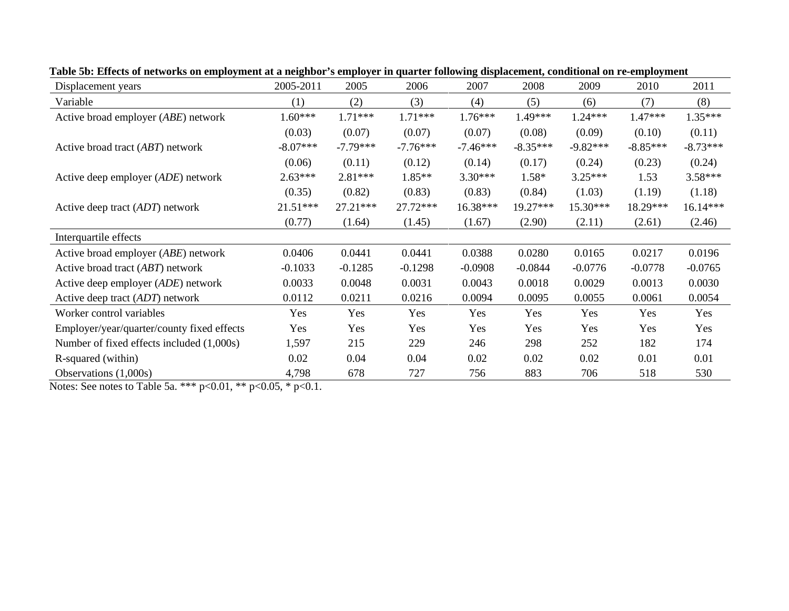| Displacement years                           | 2005-2011  | 2005       | 2006       | 2007       | 2008       | 2009       | 2010       | 2011       |
|----------------------------------------------|------------|------------|------------|------------|------------|------------|------------|------------|
| Variable                                     | (1)        | (2)        | (3)        | (4)        | (5)        | (6)        | (7)        | (8)        |
| Active broad employer (ABE) network          | $1.60***$  | $1.71***$  | $1.71***$  | $1.76***$  | 1.49***    | $1.24***$  | 1.47***    | $1.35***$  |
|                                              | (0.03)     | (0.07)     | (0.07)     | (0.07)     | (0.08)     | (0.09)     | (0.10)     | (0.11)     |
| Active broad tract (ABT) network             | $-8.07***$ | $-7.79***$ | $-7.76***$ | $-7.46***$ | $-8.35***$ | $-9.82***$ | $-8.85***$ | $-8.73***$ |
|                                              | (0.06)     | (0.11)     | (0.12)     | (0.14)     | (0.17)     | (0.24)     | (0.23)     | (0.24)     |
| Active deep employer (ADE) network           | $2.63***$  | $2.81***$  | 1.85**     | $3.30***$  | 1.58*      | $3.25***$  | 1.53       | $3.58***$  |
|                                              | (0.35)     | (0.82)     | (0.83)     | (0.83)     | (0.84)     | (1.03)     | (1.19)     | (1.18)     |
| Active deep tract (ADT) network              | $21.51***$ | $27.21***$ | $27.72***$ | 16.38***   | 19.27***   | $15.30***$ | 18.29***   | 16.14***   |
|                                              | (0.77)     | (1.64)     | (1.45)     | (1.67)     | (2.90)     | (2.11)     | (2.61)     | (2.46)     |
| Interquartile effects                        |            |            |            |            |            |            |            |            |
| Active broad employer ( <i>ABE</i> ) network | 0.0406     | 0.0441     | 0.0441     | 0.0388     | 0.0280     | 0.0165     | 0.0217     | 0.0196     |
| Active broad tract ( <i>ABT</i> ) network    | $-0.1033$  | $-0.1285$  | $-0.1298$  | $-0.0908$  | $-0.0844$  | $-0.0776$  | $-0.0778$  | $-0.0765$  |
| Active deep employer (ADE) network           | 0.0033     | 0.0048     | 0.0031     | 0.0043     | 0.0018     | 0.0029     | 0.0013     | 0.0030     |
| Active deep tract (ADT) network              | 0.0112     | 0.0211     | 0.0216     | 0.0094     | 0.0095     | 0.0055     | 0.0061     | 0.0054     |
| Worker control variables                     | Yes        | Yes        | Yes        | Yes        | Yes        | Yes        | Yes        | Yes        |
| Employer/year/quarter/county fixed effects   | Yes        | Yes        | Yes        | Yes        | Yes        | Yes        | Yes        | Yes        |
| Number of fixed effects included (1,000s)    | 1,597      | 215        | 229        | 246        | 298        | 252        | 182        | 174        |
| R-squared (within)                           | 0.02       | 0.04       | 0.04       | 0.02       | 0.02       | 0.02       | 0.01       | 0.01       |
| Observations $(1,000s)$                      | 4,798      | 678        | 727        | 756        | 883        | 706        | 518        | 530        |

**Table 5b: Effects of networks on employment at a neighbor's employer in quarter following displacement, conditional on re-employment**

Notes: See notes to Table 5a. \*\*\* p<0.01, \*\* p<0.05, \* p<0.1.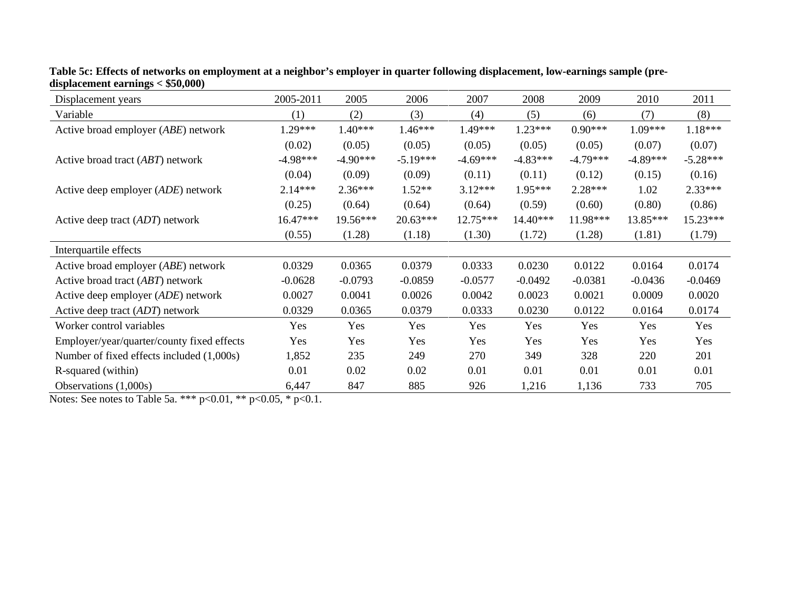| Displacement years                           | 2005-2011  | 2005       | 2006       | 2007       | 2008       | 2009       | 2010       | 2011       |
|----------------------------------------------|------------|------------|------------|------------|------------|------------|------------|------------|
| Variable                                     | (1)        | (2)        | (3)        | (4)        | (5)        | (6)        | (7)        | (8)        |
| Active broad employer (ABE) network          | $1.29***$  | $1.40***$  | $1.46***$  | $1.49***$  | $1.23***$  | $0.90***$  | $1.09***$  | $1.18***$  |
|                                              | (0.02)     | (0.05)     | (0.05)     | (0.05)     | (0.05)     | (0.05)     | (0.07)     | (0.07)     |
| Active broad tract (ABT) network             | $-4.98***$ | $-4.90***$ | $-5.19***$ | $-4.69***$ | $-4.83***$ | $-4.79***$ | $-4.89***$ | $-5.28***$ |
|                                              | (0.04)     | (0.09)     | (0.09)     | (0.11)     | (0.11)     | (0.12)     | (0.15)     | (0.16)     |
| Active deep employer ( <i>ADE</i> ) network  | $2.14***$  | $2.36***$  | $1.52**$   | $3.12***$  | 1.95***    | $2.28***$  | 1.02       | 2.33***    |
|                                              | (0.25)     | (0.64)     | (0.64)     | (0.64)     | (0.59)     | (0.60)     | (0.80)     | (0.86)     |
| Active deep tract ( <i>ADT</i> ) network     | 16.47***   | 19.56***   | 20.63***   | $12.75***$ | 14.40***   | 11.98***   | 13.85***   | 15.23***   |
|                                              | (0.55)     | (1.28)     | (1.18)     | (1.30)     | (1.72)     | (1.28)     | (1.81)     | (1.79)     |
| Interquartile effects                        |            |            |            |            |            |            |            |            |
| Active broad employer ( <i>ABE</i> ) network | 0.0329     | 0.0365     | 0.0379     | 0.0333     | 0.0230     | 0.0122     | 0.0164     | 0.0174     |
| Active broad tract (ABT) network             | $-0.0628$  | $-0.0793$  | $-0.0859$  | $-0.0577$  | $-0.0492$  | $-0.0381$  | $-0.0436$  | $-0.0469$  |
| Active deep employer ( <i>ADE</i> ) network  | 0.0027     | 0.0041     | 0.0026     | 0.0042     | 0.0023     | 0.0021     | 0.0009     | 0.0020     |
| Active deep tract (ADT) network              | 0.0329     | 0.0365     | 0.0379     | 0.0333     | 0.0230     | 0.0122     | 0.0164     | 0.0174     |
| Worker control variables                     | Yes        | Yes        | Yes        | Yes        | Yes        | Yes        | Yes        | Yes        |
| Employer/year/quarter/county fixed effects   | Yes        | Yes        | Yes        | Yes        | Yes        | Yes        | Yes        | Yes        |
| Number of fixed effects included (1,000s)    | 1,852      | 235        | 249        | 270        | 349        | 328        | 220        | 201        |
| R-squared (within)                           | 0.01       | 0.02       | 0.02       | 0.01       | 0.01       | 0.01       | 0.01       | 0.01       |
| Observations $(1,000s)$                      | 6,447      | 847        | 885        | 926        | 1,216      | 1,136      | 733        | 705        |

**Table 5c: Effects of networks on employment at a neighbor's employer in quarter following displacement, low-earnings sample (predisplacement earnings < \$50,000)** 

Notes: See notes to Table 5a. \*\*\* p<0.01, \*\* p<0.05, \* p<0.1.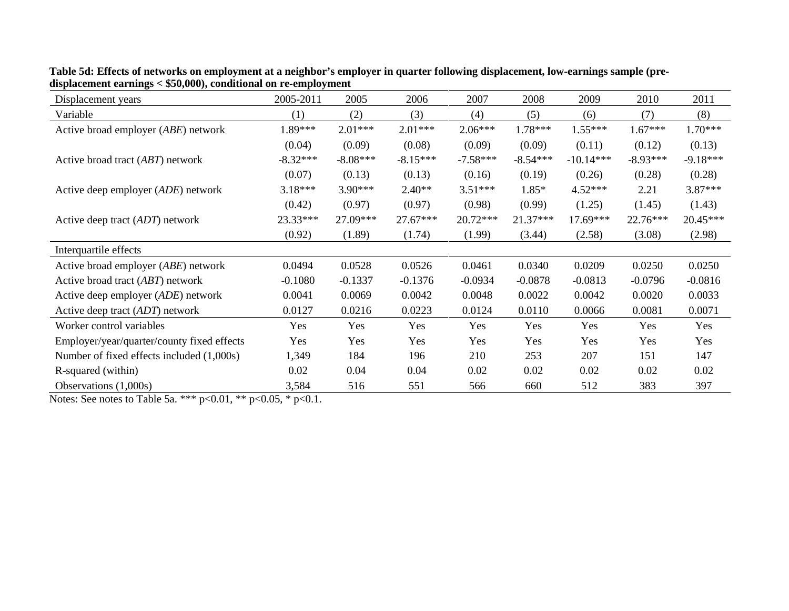| Displacement years                           | 2005-2011  | 2005       | 2006       | 2007       | 2008       | 2009        | 2010       | 2011       |
|----------------------------------------------|------------|------------|------------|------------|------------|-------------|------------|------------|
| Variable                                     | (1)        | (2)        | (3)        | (4)        | (5)        | (6)         | (7)        | (8)        |
| Active broad employer ( <i>ABE</i> ) network | $1.89***$  | $2.01***$  | $2.01***$  | $2.06***$  | $1.78***$  | $1.55***$   | $1.67***$  | $1.70***$  |
|                                              | (0.04)     | (0.09)     | (0.08)     | (0.09)     | (0.09)     | (0.11)      | (0.12)     | (0.13)     |
| Active broad tract (ABT) network             | $-8.32***$ | $-8.08***$ | $-8.15***$ | $-7.58***$ | $-8.54***$ | $-10.14***$ | $-8.93***$ | $-9.18***$ |
|                                              | (0.07)     | (0.13)     | (0.13)     | (0.16)     | (0.19)     | (0.26)      | (0.28)     | (0.28)     |
| Active deep employer (ADE) network           | $3.18***$  | $3.90***$  | $2.40**$   | $3.51***$  | $1.85*$    | $4.52***$   | 2.21       | $3.87***$  |
|                                              | (0.42)     | (0.97)     | (0.97)     | (0.98)     | (0.99)     | (1.25)      | (1.45)     | (1.43)     |
| Active deep tract (ADT) network              | 23.33***   | 27.09***   | $27.67***$ | $20.72***$ | 21.37***   | 17.69***    | 22.76***   | 20.45***   |
|                                              | (0.92)     | (1.89)     | (1.74)     | (1.99)     | (3.44)     | (2.58)      | (3.08)     | (2.98)     |
| Interquartile effects                        |            |            |            |            |            |             |            |            |
| Active broad employer ( <i>ABE</i> ) network | 0.0494     | 0.0528     | 0.0526     | 0.0461     | 0.0340     | 0.0209      | 0.0250     | 0.0250     |
| Active broad tract ( <i>ABT</i> ) network    | $-0.1080$  | $-0.1337$  | $-0.1376$  | $-0.0934$  | $-0.0878$  | $-0.0813$   | $-0.0796$  | $-0.0816$  |
| Active deep employer (ADE) network           | 0.0041     | 0.0069     | 0.0042     | 0.0048     | 0.0022     | 0.0042      | 0.0020     | 0.0033     |
| Active deep tract (ADT) network              | 0.0127     | 0.0216     | 0.0223     | 0.0124     | 0.0110     | 0.0066      | 0.0081     | 0.0071     |
| Worker control variables                     | Yes        | Yes        | Yes        | Yes        | Yes        | Yes         | Yes        | Yes        |
| Employer/year/quarter/county fixed effects   | Yes        | Yes        | Yes        | Yes        | Yes        | Yes         | Yes        | Yes        |
| Number of fixed effects included (1,000s)    | 1,349      | 184        | 196        | 210        | 253        | 207         | 151        | 147        |
| R-squared (within)                           | 0.02       | 0.04       | 0.04       | 0.02       | 0.02       | 0.02        | 0.02       | 0.02       |
| Observations $(1,000s)$                      | 3,584      | 516        | 551        | 566        | 660        | 512         | 383        | 397        |

**Table 5d: Effects of networks on employment at a neighbor's employer in quarter following displacement, low-earnings sample (predisplacement earnings < \$50,000), conditional on re-employment**

Notes: See notes to Table 5a. \*\*\*  $p<0.01$ , \*\*  $p<0.05$ , \*  $p<0.1$ .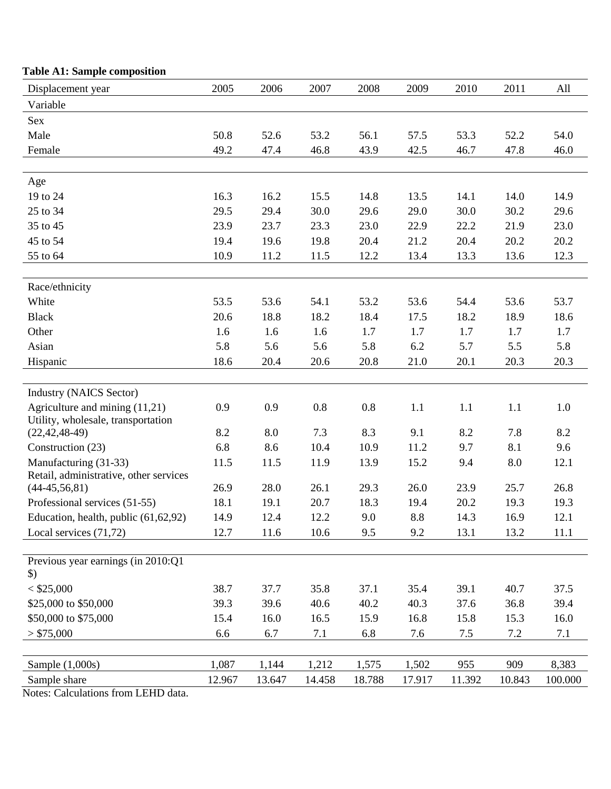| Displacement year                      | 2005   | 2006   | 2007   | 2008   | 2009   | 2010   | 2011   | All     |
|----------------------------------------|--------|--------|--------|--------|--------|--------|--------|---------|
| Variable                               |        |        |        |        |        |        |        |         |
| Sex                                    |        |        |        |        |        |        |        |         |
| Male                                   | 50.8   | 52.6   | 53.2   | 56.1   | 57.5   | 53.3   | 52.2   | 54.0    |
| Female                                 | 49.2   | 47.4   | 46.8   | 43.9   | 42.5   | 46.7   | 47.8   | 46.0    |
|                                        |        |        |        |        |        |        |        |         |
| Age                                    |        |        |        |        |        |        |        |         |
| 19 to 24                               | 16.3   | 16.2   | 15.5   | 14.8   | 13.5   | 14.1   | 14.0   | 14.9    |
| 25 to 34                               | 29.5   | 29.4   | 30.0   | 29.6   | 29.0   | 30.0   | 30.2   | 29.6    |
| 35 to 45                               | 23.9   | 23.7   | 23.3   | 23.0   | 22.9   | 22.2   | 21.9   | 23.0    |
| 45 to 54                               | 19.4   | 19.6   | 19.8   | 20.4   | 21.2   | 20.4   | 20.2   | 20.2    |
| 55 to 64                               | 10.9   | 11.2   | 11.5   | 12.2   | 13.4   | 13.3   | 13.6   | 12.3    |
|                                        |        |        |        |        |        |        |        |         |
| Race/ethnicity                         |        |        |        |        |        |        |        |         |
| White                                  | 53.5   | 53.6   | 54.1   | 53.2   | 53.6   | 54.4   | 53.6   | 53.7    |
| <b>Black</b>                           | 20.6   | 18.8   | 18.2   | 18.4   | 17.5   | 18.2   | 18.9   | 18.6    |
| Other                                  | 1.6    | 1.6    | 1.6    | 1.7    | 1.7    | 1.7    | 1.7    | 1.7     |
| Asian                                  | 5.8    | 5.6    | 5.6    | 5.8    | 6.2    | 5.7    | 5.5    | 5.8     |
| Hispanic                               | 18.6   | 20.4   | 20.6   | 20.8   | 21.0   | 20.1   | 20.3   | 20.3    |
|                                        |        |        |        |        |        |        |        |         |
| <b>Industry (NAICS Sector)</b>         |        |        |        |        |        |        |        |         |
| Agriculture and mining (11,21)         | 0.9    | 0.9    | 0.8    | 0.8    | 1.1    | 1.1    | 1.1    | 1.0     |
| Utility, wholesale, transportation     |        |        |        |        |        |        |        |         |
| $(22, 42, 48 - 49)$                    | 8.2    | 8.0    | 7.3    | 8.3    | 9.1    | 8.2    | 7.8    | 8.2     |
| Construction (23)                      | 6.8    | 8.6    | 10.4   | 10.9   | 11.2   | 9.7    | 8.1    | 9.6     |
| Manufacturing (31-33)                  | 11.5   | 11.5   | 11.9   | 13.9   | 15.2   | 9.4    | 8.0    | 12.1    |
| Retail, administrative, other services | 26.9   | 28.0   |        |        | 26.0   |        | 25.7   |         |
| $(44-45, 56, 81)$                      |        |        | 26.1   | 29.3   |        | 23.9   |        | 26.8    |
| Professional services (51-55)          | 18.1   | 19.1   | 20.7   | 18.3   | 19.4   | 20.2   | 19.3   | 19.3    |
| Education, health, public (61,62,92)   | 14.9   | 12.4   | 12.2   | 9.0    | 8.8    | 14.3   | 16.9   | 12.1    |
| Local services $(71, 72)$              | 12.7   | 11.6   | 10.6   | 9.5    | 9.2    | 13.1   | 13.2   | 11.1    |
| Previous year earnings (in 2010:Q1     |        |        |        |        |        |        |        |         |
| $\mathcal{L}$                          |        |        |        |        |        |        |        |         |
| $<$ \$25,000                           | 38.7   | 37.7   | 35.8   | 37.1   | 35.4   | 39.1   | 40.7   | 37.5    |
| \$25,000 to \$50,000                   | 39.3   | 39.6   | 40.6   | 40.2   | 40.3   | 37.6   | 36.8   | 39.4    |
| \$50,000 to \$75,000                   | 15.4   | 16.0   | 16.5   | 15.9   | 16.8   | 15.8   | 15.3   | 16.0    |
| > \$75,000                             | 6.6    | 6.7    | 7.1    | 6.8    | 7.6    | 7.5    | 7.2    | 7.1     |
|                                        |        |        |        |        |        |        |        |         |
| Sample $(1,000s)$                      | 1,087  | 1,144  | 1,212  | 1,575  | 1,502  | 955    | 909    | 8,383   |
| Sample share                           | 12.967 | 13.647 | 14.458 | 18.788 | 17.917 | 11.392 | 10.843 | 100.000 |
|                                        |        |        |        |        |        |        |        |         |

## **Table A1: Sample composition**

Notes: Calculations from LEHD data.